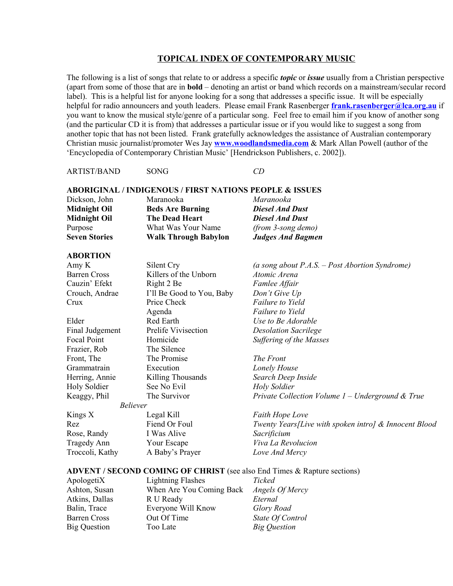#### **TOPICAL INDEX OF CONTEMPORARY MUSIC**

The following is a list of songs that relate to or address a specific *topic* or *issue* usually from a Christian perspective (apart from some of those that are in **bold** – denoting an artist or band which records on a mainstream/secular record label). This is a helpful list for anyone looking for a song that addresses a specific issue. It will be especially helpful for radio announcers and youth leaders. Please email Frank Rasenberger **[frank.rasenberger@lca.org.au](mailto:frank.rasenberger@lca.org.au)** if you want to know the musical style/genre of a particular song. Feel free to email him if you know of another song (and the particular CD it is from) that addresses a particular issue or if you would like to suggest a song from another topic that has not been listed. Frank gratefully acknowledges the assistance of Australian contemporary Christian music journalist/promoter Wes Jay **[www.woodlandsmedia.com](http://www.woodlandsmedia.com/)** & Mark Allan Powell (author of the 'Encyclopedia of Contemporary Christian Music' [Hendrickson Publishers, c. 2002]).

ARTIST/BAND SONG *CD*

|                      | <b>ABORIGINAL / INDIGENOUS / FIRST NATIONS PEOPLE &amp; ISSUES</b> |                          |
|----------------------|--------------------------------------------------------------------|--------------------------|
| Dickson, John        | Maranooka                                                          | Maranooka                |
| <b>Midnight Oil</b>  | <b>Beds Are Burning</b>                                            | <b>Diesel And Dust</b>   |
| <b>Midnight Oil</b>  | <b>The Dead Heart</b>                                              | <b>Diesel And Dust</b>   |
| Purpose              | What Was Your Name                                                 | (from 3-song demo)       |
| <b>Seven Stories</b> | <b>Walk Through Babylon</b>                                        | <b>Judges And Bagmen</b> |

#### **ABORTION**

| Amy K               | Silent Cry                | (a song about $P.A.S. - Post Abortion$ Syndrome)      |
|---------------------|---------------------------|-------------------------------------------------------|
| <b>Barren Cross</b> | Killers of the Unborn     | Atomic Arena                                          |
| Cauzin' Efekt       | Right 2 Be                | Famlee Affair                                         |
| Crouch, Andrae      | I'll Be Good to You, Baby | Don't Give Up                                         |
| Crux                | Price Check               | <b>Failure to Yield</b>                               |
|                     | Agenda                    | <b>Failure to Yield</b>                               |
| Elder               | Red Earth                 | Use to Be Adorable                                    |
| Final Judgement     | Prelife Vivisection       | <b>Desolation Sacrilege</b>                           |
| Focal Point         | Homicide                  | <b>Suffering of the Masses</b>                        |
| Frazier, Rob        | The Silence               |                                                       |
| Front, The          | The Promise               | The Front                                             |
| Grammatrain         | Execution                 | Lonely House                                          |
| Herring, Annie      | Killing Thousands         | Search Deep Inside                                    |
| <b>Holy Soldier</b> | See No Evil               | <b>Holy Soldier</b>                                   |
| Keaggy, Phil        | The Survivor              | Private Collection Volume $1$ – Underground & True    |
| <b>Believer</b>     |                           |                                                       |
| Kings X             | Legal Kill                | <b>Faith Hope Love</b>                                |
| Rez                 | Fiend Or Foul             | Twenty Years[Live with spoken intro] & Innocent Blood |
| Rose, Randy         | I Was Alive               | Sacrificium                                           |
| Tragedy Ann         | Your Escape               | Viva La Revolucion                                    |
| Troccoli, Kathy     | A Baby's Prayer           | Love And Mercy                                        |
|                     |                           |                                                       |

#### **ADVENT / SECOND COMING OF CHRIST** (see also End Times & Rapture sections)

ApologetiX Lightning Flashes *Ticked*<br>Ashton, Susan When Are You Coming Back *Angels* When Are You Coming Back *Angels Of Mercy* Atkins, Dallas R U Ready *Eternal* Balin, Trace **Everyone Will Know** *Glory Road* Barren Cross Out Of Time *State Of Control* Big Question Too Late *Big Question*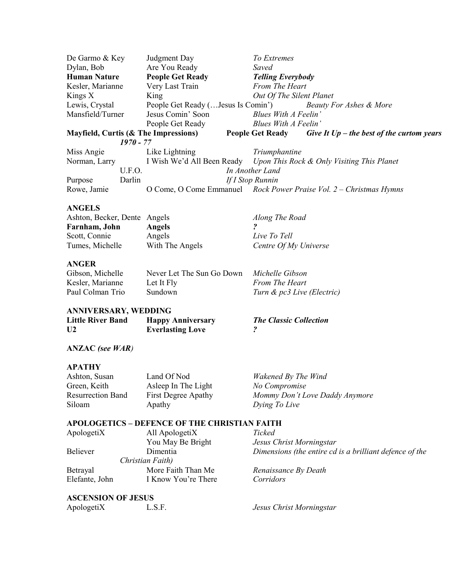| De Garmo & Key      |             | Judgment Day                         | To Extremes                                                            |
|---------------------|-------------|--------------------------------------|------------------------------------------------------------------------|
| Dylan, Bob          |             | Are You Ready                        | Saved                                                                  |
| <b>Human Nature</b> |             | <b>People Get Ready</b>              | <b>Telling Everybody</b>                                               |
| Kesler, Marianne    |             | Very Last Train                      | From The Heart                                                         |
| Kings $X$           |             | King                                 | Out Of The Silent Planet                                               |
| Lewis, Crystal      |             |                                      | People Get Ready ( Jesus Is Comin') Beauty For Ashes & More            |
| Mansfield/Turner    |             | Jesus Comin' Soon                    | Blues With A Feelin'                                                   |
|                     |             | People Get Ready                     | Blues With A Feelin'                                                   |
|                     |             | Mayfield, Curtis (& The Impressions) | <b>People Get Ready</b><br>Give It $Up$ – the best of the curtom years |
|                     | $1970 - 77$ |                                      |                                                                        |
| Miss Angie          |             | Like Lightning                       | Triumphantine                                                          |
| Norman, Larry       |             |                                      | I Wish We'd All Been Ready Upon This Rock & Only Visiting This Planet  |
|                     | U.F.O.      |                                      | In Another Land                                                        |
| Purpose             | Darlin      |                                      | If I Stop Runnin                                                       |
| Rowe, Jamie         |             |                                      | O Come, O Come Emmanuel Rock Power Praise Vol. 2 - Christmas Hymns     |
|                     |             |                                      |                                                                        |

## **ANGELS**

| Ashton, Becker, Dente Angels |                 | Along The Road        |
|------------------------------|-----------------|-----------------------|
| Farnham, John                | <b>Angels</b>   |                       |
| Scott, Connie                | Angels          | Live To Tell          |
| Tumes, Michelle              | With The Angels | Centre Of My Universe |

#### **ANGER**

| Gibson, Michelle | Never Let The Sun Go Down | Michelle Gibson            |
|------------------|---------------------------|----------------------------|
| Kesler, Marianne | Let It Fly                | <b>From The Heart</b>      |
| Paul Colman Trio | Sundown                   | Turn & pc3 Live (Electric) |

## **ANNIVERSARY, WEDDING**

| <b>Little River Band</b> | <b>Happy Anniversary</b> | <b>The Classic Collection</b> |
|--------------------------|--------------------------|-------------------------------|
| U <sub>2</sub>           | <b>Everlasting Love</b>  |                               |

## **ANZAC** *(see WAR)*

#### **APATHY**

| Ashton, Susan            | Land Of Nod         | Wakened By The Wind            |
|--------------------------|---------------------|--------------------------------|
| Green, Keith             | Asleep In The Light | No Compromise                  |
| <b>Resurrection Band</b> | First Degree Apathy | Mommy Don't Love Daddy Anymore |
| Siloam                   | Apathy              | Dying To Live                  |
|                          |                     |                                |

#### **APOLOGETICS – DEFENCE OF THE CHRISTIAN FAITH**

| ApologetiX     | All ApologetiX      | Ticked                                                  |
|----------------|---------------------|---------------------------------------------------------|
|                | You May Be Bright   | Jesus Christ Morningstar                                |
| Believer       | Dimentia            | Dimensions (the entire cd is a brilliant defence of the |
|                | Christian Faith)    |                                                         |
| Betrayal       | More Faith Than Me  | Renaissance By Death                                    |
| Elefante, John | I Know You're There | Corridors                                               |
|                |                     |                                                         |

### **ASCENSION OF JESUS**

| L.S.F.<br>Jesus Christ Morningstar |
|------------------------------------|
|                                    |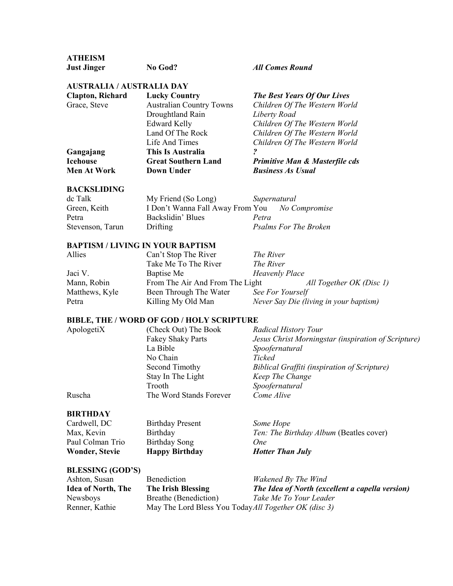# **ATHEISM**

**Just Jinger No God?** *All Comes Round*

## **AUSTRALIA / AUSTRALIA DAY**

| <b>Clapton, Richard</b> | <b>Lucky Country</b>            | <b>The Best Years Of Our Lives</b>        |
|-------------------------|---------------------------------|-------------------------------------------|
| Grace, Steve            | <b>Australian Country Towns</b> | Children Of The Western World             |
|                         | Droughtland Rain                | Liberty Road                              |
|                         | <b>Edward Kelly</b>             | Children Of The Western World             |
|                         | Land Of The Rock                | Children Of The Western World             |
|                         | Life And Times                  | Children Of The Western World             |
| Gangajang               | This Is Australia               |                                           |
| <b>Icehouse</b>         | <b>Great Southern Land</b>      | <b>Primitive Man &amp; Masterfile cds</b> |
| <b>Men At Work</b>      | Down Under                      | <b>Business As Usual</b>                  |
|                         |                                 |                                           |

### **BACKSLIDING**

| dc Talk          | My Friend (So Long)                            | Supernatural |                              |
|------------------|------------------------------------------------|--------------|------------------------------|
| Green, Keith     | I Don't Wanna Fall Away From You No Compromise |              |                              |
| Petra            | Backslidin' Blues                              | Petra        |                              |
| Stevenson, Tarun | Drifting                                       |              | <b>Psalms For The Broken</b> |

#### **BAPTISM / LIVING IN YOUR BAPTISM**

| Allies         | Can't Stop The River            | The River                              |  |
|----------------|---------------------------------|----------------------------------------|--|
|                | Take Me To The River            | The River                              |  |
| Jaci V.        | Baptise Me                      | <b>Heavenly Place</b>                  |  |
| Mann, Robin    | From The Air And From The Light | All Together OK (Disc 1)               |  |
| Matthews, Kyle | Been Through The Water          | See For Yourself                       |  |
| Petra          | Killing My Old Man              | Never Say Die (living in your baptism) |  |

## **BIBLE, THE / WORD OF GOD / HOLY SCRIPTURE**

| ApologetiX | (Check Out) The Book     | Radical History Tour                                |
|------------|--------------------------|-----------------------------------------------------|
|            | <b>Fakey Shaky Parts</b> | Jesus Christ Morningstar (inspiration of Scripture) |
|            | La Bible                 | Spoofernatural                                      |
|            | No Chain                 | Ticked                                              |
|            | Second Timothy           | Biblical Graffiti (inspiration of Scripture)        |
|            | Stay In The Light        | Keep The Change                                     |
|            | Trooth                   | Spoofernatural                                      |
| Ruscha     | The Word Stands Forever  | Come Alive                                          |
|            |                          |                                                     |

## **BIRTHDAY**

| <b>Wonder, Stevie</b> | <b>Happy Birthday</b>   | <b>Hotter Than July</b>                        |
|-----------------------|-------------------------|------------------------------------------------|
| Paul Colman Trio      | Birthday Song           | One                                            |
| Max, Kevin            | Birthday                | <i>Ten: The Birthday Album (Beatles cover)</i> |
| Cardwell, DC          | <b>Birthday Present</b> | Some Hope                                      |

## **BLESSING (GOD'S)**

| Ashton, Susan             | Benediction           | Wakened By The Wind                                   |
|---------------------------|-----------------------|-------------------------------------------------------|
| <b>Idea of North, The</b> | The Irish Blessing    | The Idea of North (excellent a capella version)       |
| Newsboys                  | Breathe (Benediction) | Take Me To Your Leader                                |
| Renner, Kathie            |                       | May The Lord Bless You Today All Together OK (disc 3) |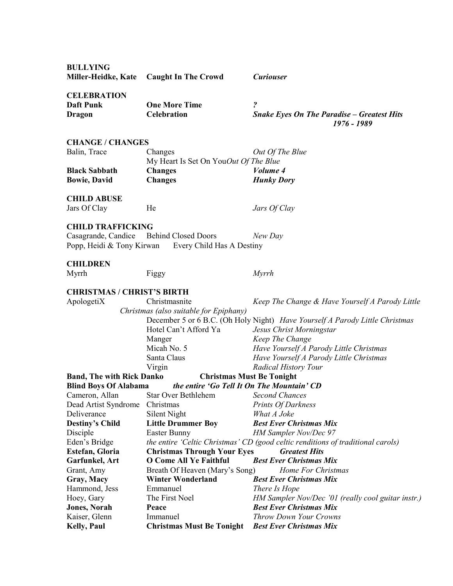| <b>BULLYING</b>                   |                                                     |                                                                                 |
|-----------------------------------|-----------------------------------------------------|---------------------------------------------------------------------------------|
| Miller-Heidke, Kate               | <b>Caught In The Crowd</b>                          | <b>Curiouser</b>                                                                |
|                                   |                                                     |                                                                                 |
| <b>CELEBRATION</b>                |                                                     |                                                                                 |
| <b>Daft Punk</b>                  | <b>One More Time</b>                                | ?                                                                               |
| <b>Dragon</b>                     | <b>Celebration</b>                                  | <b>Snake Eyes On The Paradise - Greatest Hits</b>                               |
|                                   |                                                     | 1976 - 1989                                                                     |
|                                   |                                                     |                                                                                 |
| <b>CHANGE / CHANGES</b>           |                                                     |                                                                                 |
| Balin, Trace                      | Changes                                             | Out Of The Blue                                                                 |
|                                   | My Heart Is Set On YouOut Of The Blue               |                                                                                 |
| <b>Black Sabbath</b>              | <b>Changes</b>                                      | Volume 4                                                                        |
| <b>Bowie, David</b>               | <b>Changes</b>                                      | <b>Hunky Dory</b>                                                               |
|                                   |                                                     |                                                                                 |
| <b>CHILD ABUSE</b>                |                                                     |                                                                                 |
| Jars Of Clay                      | He                                                  | Jars Of Clay                                                                    |
|                                   |                                                     |                                                                                 |
| <b>CHILD TRAFFICKING</b>          |                                                     |                                                                                 |
| Casagrande, Candice               | <b>Behind Closed Doors</b>                          | New Day                                                                         |
|                                   | Popp, Heidi & Tony Kirwan Every Child Has A Destiny |                                                                                 |
|                                   |                                                     |                                                                                 |
| <b>CHILDREN</b>                   |                                                     |                                                                                 |
| Myrrh                             | Figgy                                               | <b>Myrrh</b>                                                                    |
|                                   |                                                     |                                                                                 |
| <b>CHRISTMAS / CHRIST'S BIRTH</b> |                                                     |                                                                                 |
| ApologetiX                        | Christmasnite                                       | Keep The Change & Have Yourself A Parody Little                                 |
|                                   | Christmas (also suitable for Epiphany)              |                                                                                 |
|                                   |                                                     | December 5 or 6 B.C. (Oh Holy Night) Have Yourself A Parody Little Christmas    |
|                                   | Hotel Can't Afford Ya                               | Jesus Christ Morningstar                                                        |
|                                   | Manger                                              | Keep The Change                                                                 |
|                                   | Micah No. 5                                         | Have Yourself A Parody Little Christmas                                         |
|                                   | Santa Claus                                         | Have Yourself A Parody Little Christmas                                         |
|                                   | Virgin                                              | <b>Radical History Tour</b>                                                     |
| <b>Band, The with Rick Danko</b>  | <b>Christmas Must Be Tonight</b>                    |                                                                                 |
| <b>Blind Boys Of Alabama</b>      | the entire 'Go Tell It On The Mountain' CD          |                                                                                 |
| Cameron, Allan                    | Star Over Bethlehem                                 | Second Chances                                                                  |
| Dead Artist Syndrome              | Christmas                                           | <b>Prints Of Darkness</b>                                                       |
| Deliverance                       | Silent Night                                        | What A Joke                                                                     |
| <b>Destiny's Child</b>            | <b>Little Drummer Boy</b>                           | <b>Best Ever Christmas Mix</b>                                                  |
| Disciple                          | Easter Bunny                                        | HM Sampler Nov/Dec 97                                                           |
| Eden's Bridge                     |                                                     | the entire 'Celtic Christmas' CD (good celtic renditions of traditional carols) |
| Estefan, Gloria                   | <b>Christmas Through Your Eyes</b>                  | <b>Greatest Hits</b>                                                            |
| Garfunkel, Art                    | <b>O Come All Ye Faithful</b>                       | <b>Best Ever Christmas Mix</b>                                                  |
| Grant, Amy                        | Breath Of Heaven (Mary's Song)                      | Home For Christmas                                                              |
| Gray, Macy                        | <b>Winter Wonderland</b>                            | <b>Best Ever Christmas Mix</b>                                                  |
|                                   | Emmanuel                                            |                                                                                 |
| Hammond, Jess                     |                                                     | There Is Hope                                                                   |
| Hoey, Gary                        | The First Noel                                      | HM Sampler Nov/Dec '01 (really cool guitar instr.)                              |
| <b>Jones</b> , Norah              | Peace                                               | <b>Best Ever Christmas Mix</b>                                                  |
| Kaiser, Glenn                     | Immanuel                                            | Throw Down Your Crowns                                                          |
| <b>Kelly, Paul</b>                | <b>Christmas Must Be Tonight</b>                    | <b>Best Ever Christmas Mix</b>                                                  |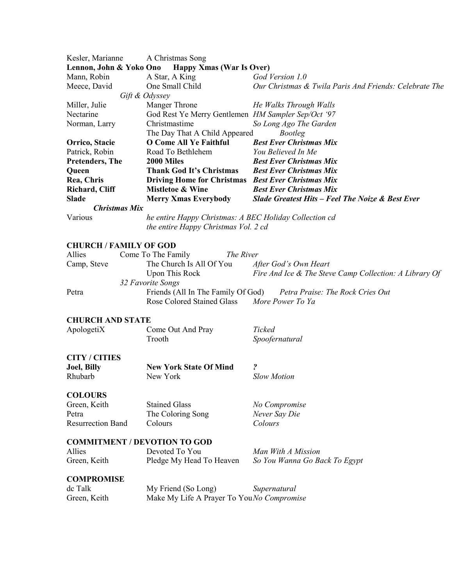| Kesler, Marianne                                           | A Christmas Song                                       |                                                        |  |
|------------------------------------------------------------|--------------------------------------------------------|--------------------------------------------------------|--|
| Lennon, John & Yoko Ono<br><b>Happy Xmas (War Is Over)</b> |                                                        |                                                        |  |
| Mann, Robin                                                | A Star, A King                                         | God Version 1.0                                        |  |
| Meece, David                                               | One Small Child                                        | Our Christmas & Twila Paris And Friends: Celebrate The |  |
|                                                            | Gift & Odyssey                                         |                                                        |  |
| Miller, Julie                                              | Manger Throne                                          | He Walks Through Walls                                 |  |
| Nectarine                                                  | God Rest Ye Merry Gentlemen HM Sampler Sep/Oct '97     |                                                        |  |
| Norman, Larry                                              | Christmastime                                          | So Long Ago The Garden                                 |  |
|                                                            | The Day That A Child Appeared                          | <b>Bootleg</b>                                         |  |
| Orrico, Stacie                                             | <b>O Come All Ye Faithful</b>                          | <b>Best Ever Christmas Mix</b>                         |  |
| Patrick, Robin                                             | Road To Bethlehem                                      | You Believed In Me                                     |  |
| <b>Pretenders, The</b>                                     | 2000 Miles                                             | <b>Best Ever Christmas Mix</b>                         |  |
| Queen                                                      | <b>Thank God It's Christmas</b>                        | <b>Best Ever Christmas Mix</b>                         |  |
| Rea, Chris                                                 | Driving Home for Christmas Best Ever Christmas Mix     |                                                        |  |
| Richard, Cliff                                             | <b>Mistletoe &amp; Wine</b>                            | <b>Best Ever Christmas Mix</b>                         |  |
| <b>Slade</b>                                               | <b>Merry Xmas Everybody</b>                            | Slade Greatest Hits - Feel The Noize & Best Ever       |  |
| <b>Christmas Mix</b>                                       |                                                        |                                                        |  |
| Various                                                    | he entire Happy Christmas: A BEC Holiday Collection cd |                                                        |  |
|                                                            | the entire Happy Christmas Vol. 2 cd                   |                                                        |  |
|                                                            |                                                        |                                                        |  |
| <b>CHURCH / FAMILY OF GOD</b>                              |                                                        |                                                        |  |
| Allies                                                     | Come To The Family<br>The River                        |                                                        |  |
| Camp, Steve                                                | The Church Is All Of You                               | After God's Own Heart                                  |  |
|                                                            | <b>Upon This Rock</b>                                  | Fire And Ice & The Steve Camp Collection: A Library Of |  |
|                                                            | 32 Favorite Songs                                      |                                                        |  |
| Petra                                                      | Friends (All In The Family Of God)                     | Petra Praise: The Rock Cries Out                       |  |
|                                                            | <b>Rose Colored Stained Glass</b>                      | More Power To Ya                                       |  |
|                                                            |                                                        |                                                        |  |
| <b>CHURCH AND STATE</b>                                    |                                                        |                                                        |  |
| ApologetiX                                                 | Come Out And Pray                                      | Ticked                                                 |  |
|                                                            | Trooth                                                 | Spoofernatural                                         |  |
|                                                            |                                                        |                                                        |  |
| <b>CITY / CITIES</b>                                       |                                                        |                                                        |  |
| <b>Joel</b> , Billy                                        | <b>New York State Of Mind</b>                          | $\boldsymbol{\mathcal{P}}$                             |  |
| Rhubarb                                                    | New York                                               | <b>Slow Motion</b>                                     |  |
|                                                            |                                                        |                                                        |  |
| <b>COLOURS</b>                                             |                                                        |                                                        |  |
| Green, Keith                                               | <b>Stained Glass</b>                                   | No Compromise                                          |  |
| Petra                                                      | The Coloring Song                                      | Never Say Die                                          |  |
| <b>Resurrection Band</b>                                   | Colours                                                | Colours                                                |  |
|                                                            |                                                        |                                                        |  |
|                                                            | <b>COMMITMENT / DEVOTION TO GOD</b>                    |                                                        |  |
| Allies                                                     | Devoted To You                                         | Man With A Mission                                     |  |
| Green, Keith                                               | Pledge My Head To Heaven                               | So You Wanna Go Back To Egypt                          |  |
|                                                            |                                                        |                                                        |  |
| <b>COMPROMISE</b>                                          |                                                        |                                                        |  |
| dc Talk                                                    | My Friend (So Long)                                    | Supernatural                                           |  |
| Green, Keith                                               | Make My Life A Prayer To YouNo Compromise              |                                                        |  |
|                                                            |                                                        |                                                        |  |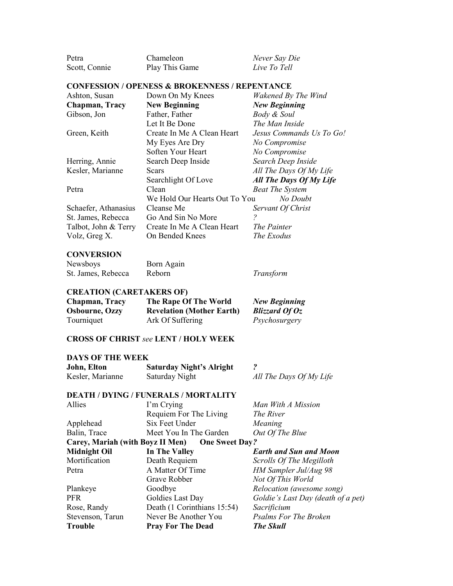| Petra                | Chameleon                                                 | Never Say Die            |
|----------------------|-----------------------------------------------------------|--------------------------|
| Scott, Connie        | Play This Game                                            | Live To Tell             |
|                      | <b>CONFESSION / OPENESS &amp; BROKENNESS / REPENTANCE</b> |                          |
| Ashton, Susan        | Down On My Knees                                          | Wakened By The Wind      |
| Chapman, Tracy       | <b>New Beginning</b>                                      | <b>New Beginning</b>     |
| Gibson, Jon          | Father, Father                                            | Body & Soul              |
|                      | Let It Be Done                                            | The Man Inside           |
| Green, Keith         | Create In Me A Clean Heart                                | Jesus Commands Us To Go! |
|                      | My Eyes Are Dry                                           | No Compromise            |
|                      | Soften Your Heart                                         | No Compromise            |
| Herring, Annie       | Search Deep Inside                                        | Search Deep Inside       |
| Kesler, Marianne     | Scars                                                     | All The Days Of My Life  |
|                      | Searchlight Of Love                                       | All The Days Of My Life  |
| Petra                | Clean                                                     | <b>Beat The System</b>   |
|                      | We Hold Our Hearts Out To You                             | No Doubt                 |
| Schaefer, Athanasius | Cleanse Me                                                | Servant Of Christ        |
| St. James, Rebecca   | Go And Sin No More                                        | 2                        |
| Talbot, John & Terry | Create In Me A Clean Heart                                | The Painter              |

#### **CONVERSION**

| Newsboys           | Born Again |           |
|--------------------|------------|-----------|
| St. James, Rebecca | Reborn     | Transform |

Talbot, John & Terry Create In Me A Clean Heart *The Painter*<br>Volz, Greg X. **On Bended Knees** *The Exodus* 

**On Bended Knees** 

#### **CREATION (CARETAKERS OF)**

| Chapman, Tracy        | The Rape Of The World            | <b>New Beginning</b> |
|-----------------------|----------------------------------|----------------------|
| <b>Osbourne, Ozzy</b> | <b>Revelation (Mother Earth)</b> | Blizzard Of $Oz$     |
| Tourniquet            | Ark Of Suffering                 | Psychosurgery        |

#### **CROSS OF CHRIST** *see* **LENT / HOLY WEEK**

#### **DAYS OF THE WEEK**

| John, Elton      | <b>Saturday Night's Alright</b> |                         |
|------------------|---------------------------------|-------------------------|
| Kesler, Marianne | Saturday Night                  | All The Days Of My Life |

|                                  | <b>DEATH / DYING / FUNERALS / MORTALITY</b> |                                    |
|----------------------------------|---------------------------------------------|------------------------------------|
| Allies                           | I'm Crying                                  | Man With A Mission                 |
|                                  | Requiem For The Living                      | <i>The River</i>                   |
| Applehead                        | Six Feet Under                              | Meaning                            |
| Balin, Trace                     | Meet You In The Garden                      | Out Of The Blue                    |
| Carey, Mariah (with Boyz II Men) | <b>One Sweet Day?</b>                       |                                    |
| <b>Midnight Oil</b>              | In The Valley                               | <b>Earth and Sun and Moon</b>      |
| Mortification                    | Death Requiem                               | Scrolls Of The Megilloth           |
| Petra                            | A Matter Of Time                            | HM Sampler Jul/Aug 98              |
|                                  | Grave Robber                                | Not Of This World                  |
| Plankeye                         | Goodbye                                     | Relocation (awesome song)          |
| <b>PFR</b>                       | Goldies Last Day                            | Goldie's Last Day (death of a pet) |
| Rose, Randy                      | Death (1 Corinthians 15:54)                 | Sacrificium                        |
| Stevenson, Tarun                 | Never Be Another You                        | <b>Psalms For The Broken</b>       |
| <b>Trouble</b>                   | <b>Pray For The Dead</b>                    | <b>The Skull</b>                   |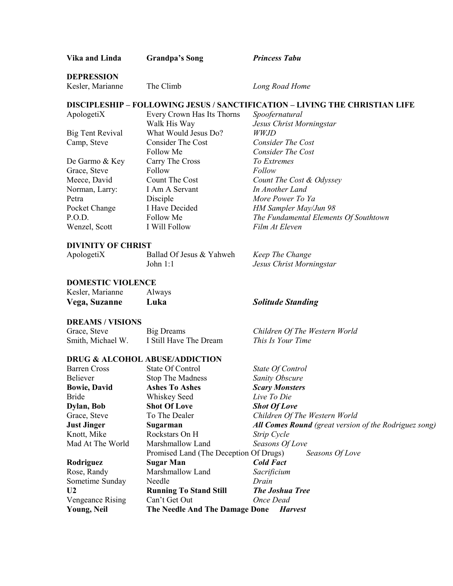| Vika and Linda            | <b>Grandpa's Song</b>                     | <b>Princess Tabu</b>                                                               |
|---------------------------|-------------------------------------------|------------------------------------------------------------------------------------|
| <b>DEPRESSION</b>         |                                           |                                                                                    |
| Kesler, Marianne          | The Climb                                 | Long Road Home                                                                     |
|                           |                                           | <b>DISCIPLESHIP - FOLLOWING JESUS / SANCTIFICATION - LIVING THE CHRISTIAN LIFE</b> |
| ApologetiX                | Every Crown Has Its Thorns                | Spoofernatural                                                                     |
|                           | Walk His Way                              | Jesus Christ Morningstar                                                           |
| <b>Big Tent Revival</b>   | What Would Jesus Do?                      | <i>WWJD</i>                                                                        |
| Camp, Steve               | <b>Consider The Cost</b>                  | <b>Consider The Cost</b>                                                           |
|                           | Follow Me                                 | Consider The Cost                                                                  |
| De Garmo & Key            | Carry The Cross                           | To Extremes                                                                        |
| Grace, Steve              | Follow                                    | Follow                                                                             |
| Meece, David              | Count The Cost                            | Count The Cost & Odyssey                                                           |
| Norman, Larry:            | I Am A Servant                            | In Another Land                                                                    |
| Petra                     | Disciple                                  | More Power To Ya                                                                   |
| Pocket Change             | I Have Decided                            | HM Sampler May/Jun 98                                                              |
| P.O.D.                    | Follow Me                                 | The Fundamental Elements Of Southtown                                              |
| Wenzel, Scott             | I Will Follow                             | Film At Eleven                                                                     |
| <b>DIVINITY OF CHRIST</b> |                                           |                                                                                    |
| ApologetiX                | Ballad Of Jesus & Yahweh                  | Keep The Change                                                                    |
|                           | John $1:1$                                | Jesus Christ Morningstar                                                           |
| <b>DOMESTIC VIOLENCE</b>  |                                           |                                                                                    |
| Kesler, Marianne          | Always                                    |                                                                                    |
| Vega, Suzanne             | Luka                                      | <b>Solitude Standing</b>                                                           |
| <b>DREAMS / VISIONS</b>   |                                           |                                                                                    |
| Grace, Steve              | <b>Big Dreams</b>                         | Children Of The Western World                                                      |
| Smith, Michael W.         | I Still Have The Dream                    | This Is Your Time                                                                  |
|                           | <b>DRUG &amp; ALCOHOL ABUSE/ADDICTION</b> |                                                                                    |
| <b>Barren Cross</b>       | State Of Control                          | State Of Control                                                                   |
| <b>Believer</b>           | <b>Stop The Madness</b>                   | Sanity Obscure                                                                     |
| <b>Bowie, David</b>       | <b>Ashes To Ashes</b>                     | <b>Scary Monsters</b>                                                              |
| <b>Bride</b>              | Whiskey Seed                              | Live To Die                                                                        |
| Dylan, Bob                | <b>Shot Of Love</b>                       | <b>Shot Of Love</b>                                                                |
| Grace, Steve              | To The Dealer                             | Children Of The Western World                                                      |
| <b>Just Jinger</b>        | Sugarman                                  | <b>All Comes Round</b> (great version of the Rodriguez song)                       |
| Knott, Mike               | Rockstars On H                            | Strip Cycle                                                                        |
| Mad At The World          | Marshmallow Land                          | Seasons Of Love                                                                    |
|                           | Promised Land (The Deception Of Drugs)    | Seasons Of Love                                                                    |
| Rodriguez                 | <b>Sugar Man</b>                          | <b>Cold Fact</b>                                                                   |
| Rose, Randy               | Marshmallow Land                          | Sacrificium                                                                        |
| Sometime Sunday           | Needle                                    | Drain                                                                              |
| U <sub>2</sub>            | <b>Running To Stand Still</b>             | <b>The Joshua Tree</b>                                                             |
| <b>Vengeance Rising</b>   | Can't Get Out                             | Once Dead                                                                          |
| <b>Young, Neil</b>        | The Needle And The Damage Done            | <b>Harvest</b>                                                                     |
|                           |                                           |                                                                                    |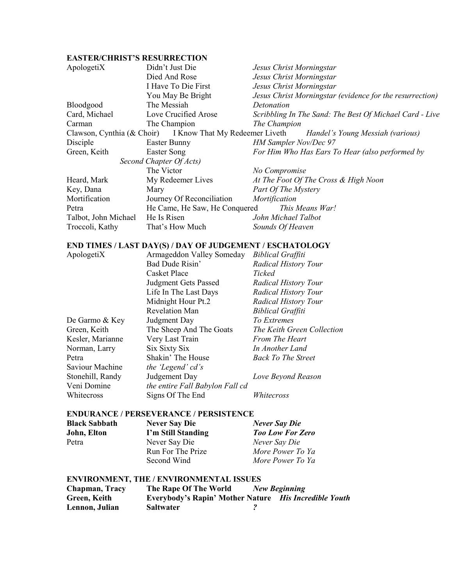## **EASTER/CHRIST'S RESURRECTION**

| ApologetiX           | Didn't Just Die                                           | Jesus Christ Morningstar                                 |
|----------------------|-----------------------------------------------------------|----------------------------------------------------------|
|                      | Died And Rose                                             | Jesus Christ Morningstar                                 |
|                      | I Have To Die First                                       | Jesus Christ Morningstar                                 |
|                      | You May Be Bright                                         | Jesus Christ Morningstar (evidence for the resurrection) |
| <b>Bloodgood</b>     | The Messiah                                               | Detonation                                               |
| Card, Michael        | Love Crucified Arose                                      | Scribbling In The Sand: The Best Of Michael Card - Live  |
| Carman               | The Champion                                              | The Champion                                             |
|                      | Clawson, Cynthia (& Choir) I Know That My Redeemer Liveth | Handel's Young Messiah (various)                         |
| Disciple             | Easter Bunny                                              | <b>HM Sampler Nov/Dec 97</b>                             |
| Green, Keith         | Easter Song                                               | For Him Who Has Ears To Hear (also performed by          |
|                      | Second Chapter Of Acts)                                   |                                                          |
|                      | The Victor                                                | No Compromise                                            |
| Heard, Mark          | My Redeemer Lives                                         | At The Foot Of The Cross & High Noon                     |
| Key, Dana            | Mary                                                      | Part Of The Mystery                                      |
| Mortification        | Journey Of Reconciliation                                 | Mortification                                            |
| Petra                | He Came, He Saw, He Conquered                             | This Means War!                                          |
| Talbot, John Michael | He Is Risen                                               | John Michael Talbot                                      |
| Troccoli, Kathy      | That's How Much                                           | Sounds Of Heaven                                         |

#### **END TIMES / LAST DAY(S) / DAY OF JUDGEMENT / ESCHATOLOGY**<br>AnologetiX Armageddon Valley Someday *Riblical Graffiti* Armageddon Valley Someday *Biblical Graffiti*

| $A$ pologeti $\Lambda$ | ATHIAGUQUIT VAIIUY SUIIUUAY     | <i>Divillat Grafful</i>     |
|------------------------|---------------------------------|-----------------------------|
|                        | Bad Dude Risin'                 | <b>Radical History Tour</b> |
|                        | <b>Casket Place</b>             | Ticked                      |
|                        | <b>Judgment Gets Passed</b>     | <b>Radical History Tour</b> |
|                        | Life In The Last Days           | <b>Radical History Tour</b> |
|                        | Midnight Hour Pt.2              | <b>Radical History Tour</b> |
|                        | <b>Revelation Man</b>           | <b>Biblical Graffiti</b>    |
| De Garmo & Key         | Judgment Day                    | To Extremes                 |
| Green, Keith           | The Sheep And The Goats         | The Keith Green Collection  |
| Kesler, Marianne       | Very Last Train                 | <b>From The Heart</b>       |
| Norman, Larry          | Six Sixty Six                   | In Another Land             |
| Petra                  | Shakin' The House               | <b>Back To The Street</b>   |
| Saviour Machine        | the 'Legend' cd's               |                             |
| Stonehill, Randy       | Judgement Day                   | Love Beyond Reason          |
| Veni Domine            | the entire Fall Babylon Fall cd |                             |
| Whitecross             | Signs Of The End                | Whitecross                  |
|                        |                                 |                             |

#### **ENDURANCE / PERSEVERANCE / PERSISTENCE**

| <b>Black Sabbath</b> | <b>Never Say Die</b> | <b>Never Say Die</b>    |
|----------------------|----------------------|-------------------------|
| John, Elton          | I'm Still Standing   | <b>Too Low For Zero</b> |
| Petra                | Never Say Die        | Never Say Die           |
|                      | Run For The Prize    | More Power To Ya        |
|                      | Second Wind          | More Power To Ya        |
|                      |                      |                         |

## **ENVIRONMENT, THE / ENVIRONMENTAL ISSUES**

| Chapman, Tracy | The Rape Of The World                                        | New Beginning |
|----------------|--------------------------------------------------------------|---------------|
| Green, Keith   | <b>Everybody's Rapin' Mother Nature</b> His Incredible Youth |               |
| Lennon, Julian | <b>Saltwater</b>                                             |               |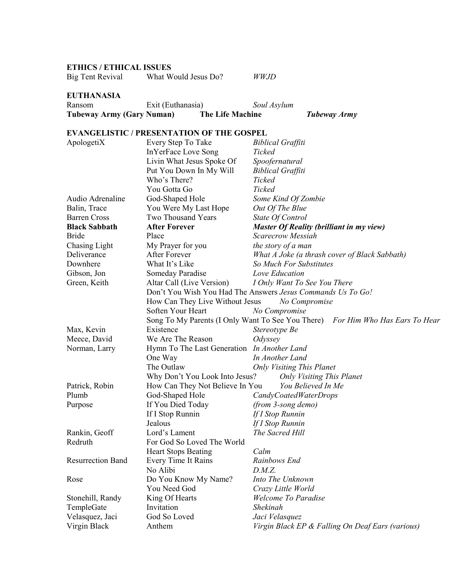## **ETHICS / ETHICAL ISSUES**

### **EUTHANASIA**

| <b>Tubeway Army (Gary Numan)</b> |                   | <b>The Life Machine</b> | <b>Tubeway Army</b> |
|----------------------------------|-------------------|-------------------------|---------------------|
| Ransom                           | Exit (Euthanasia) | Soul Asylum             |                     |

## **EVANGELISTIC / PRESENTATION OF THE GOSPEL**

| ApologetiX                                        | Every Step To Take                                           | <b>Biblical Graffiti</b>                                                       |
|---------------------------------------------------|--------------------------------------------------------------|--------------------------------------------------------------------------------|
|                                                   | <b>InYerFace Love Song</b>                                   | Ticked                                                                         |
|                                                   | Livin What Jesus Spoke Of                                    | Spoofernatural                                                                 |
|                                                   | Put You Down In My Will                                      | <b>Biblical Graffiti</b>                                                       |
|                                                   | Who's There?                                                 | Ticked                                                                         |
|                                                   | You Gotta Go                                                 | Ticked                                                                         |
| Audio Adrenaline                                  | God-Shaped Hole                                              | Some Kind Of Zombie                                                            |
| Balin, Trace                                      | You Were My Last Hope                                        | Out Of The Blue                                                                |
| <b>Barren Cross</b>                               | Two Thousand Years                                           | State Of Control                                                               |
| <b>Black Sabbath</b>                              | <b>After Forever</b>                                         | <b>Master Of Reality (brilliant in my view)</b>                                |
| <b>Bride</b>                                      | Place                                                        | Scarecrow Messiah                                                              |
| Chasing Light                                     | My Prayer for you                                            | the story of a man                                                             |
| Deliverance                                       | After Forever                                                | What A Joke (a thrash cover of Black Sabbath)                                  |
| Downhere                                          | What It's Like                                               | So Much For Substitutes                                                        |
| Gibson, Jon                                       | Someday Paradise                                             | Love Education                                                                 |
| Green, Keith                                      | Altar Call (Live Version)                                    | I Only Want To See You There                                                   |
|                                                   |                                                              | Don't You Wish You Had The Answers Jesus Commands Us To Go!                    |
|                                                   | How Can They Live Without Jesus                              | No Compromise                                                                  |
|                                                   | Soften Your Heart                                            | No Compromise                                                                  |
|                                                   |                                                              | Song To My Parents (I Only Want To See You There) For Him Who Has Ears To Hear |
| Max, Kevin                                        | Existence                                                    | Stereotype Be                                                                  |
| Meece, David                                      | We Are The Reason                                            | Odyssey                                                                        |
| Norman, Larry                                     | Hymn To The Last Generation In Another Land                  |                                                                                |
|                                                   | One Way                                                      | In Another Land                                                                |
|                                                   | The Outlaw                                                   | <b>Only Visiting This Planet</b>                                               |
|                                                   | Why Don't You Look Into Jesus?                               | <b>Only Visiting This Planet</b>                                               |
| Patrick, Robin                                    | How Can They Not Believe In You                              | You Believed In Me                                                             |
| Plumb                                             | God-Shaped Hole                                              | CandyCoatedWaterDrops                                                          |
| Purpose                                           | If You Died Today                                            | (from 3-song demo)                                                             |
|                                                   | If I Stop Runnin                                             | If I Stop Runnin                                                               |
|                                                   | Jealous                                                      | If I Stop Runnin                                                               |
| Rankin, Geoff                                     | Lord's Lament                                                | The Sacred Hill                                                                |
| Redruth                                           | For God So Loved The World                                   |                                                                                |
|                                                   | <b>Heart Stops Beating</b>                                   | Calm                                                                           |
| <b>Resurrection Band</b>                          | Every Time It Rains                                          | Rainbows End                                                                   |
|                                                   | No Alibi                                                     | D.M.Z.                                                                         |
| Rose                                              | Do You Know My Name?                                         | Into The Unknown                                                               |
|                                                   |                                                              |                                                                                |
|                                                   |                                                              | Welcome To Paradise                                                            |
|                                                   |                                                              |                                                                                |
|                                                   |                                                              |                                                                                |
| Virgin Black                                      | Anthem                                                       | Virgin Black EP & Falling On Deaf Ears (various)                               |
| Stonehill, Randy<br>TempleGate<br>Velasquez, Jaci | You Need God<br>King Of Hearts<br>Invitation<br>God So Loved | Crazy Little World<br>Shekinah<br>Jaci Velasquez                               |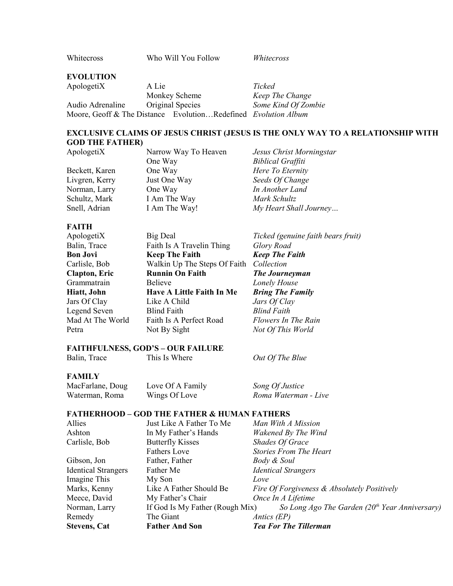Whitecross Who Will You Follow *Whitecross*

#### **EVOLUTION**

ApologetiX A Lie *Ticked* Monkey Scheme *Keep The Change*<br>Original Species *Some Kind Of Zon* Audio Adrenaline Original Species *Some Kind Of Zombie* Moore, Geoff & The Distance Evolution…Redefined *Evolution Album*

### **EXCLUSIVE CLAIMS OF JESUS CHRIST (JESUS IS THE ONLY WAY TO A RELATIONSHIP WITH GOD THE FATHER)**

| Narrow Way To Heaven | Jesus Christ Morningstar |
|----------------------|--------------------------|
| One Way              | <b>Biblical Graffiti</b> |
| One Way              | Here To Eternity         |
| Just One Way         | Seeds Of Change          |
| One Way              | In Another Land          |
| I Am The Way         | Mark Schultz             |
| I Am The Way!        | My Heart Shall Journey   |
|                      |                          |

#### **FAITH**

| ApologetiX           | <b>Big Deal</b>                  | Ticked (genuine faith bears fruit) |
|----------------------|----------------------------------|------------------------------------|
| Balin, Trace         | Faith Is A Travelin Thing        | Glory Road                         |
| <b>Bon Jovi</b>      | <b>Keep The Faith</b>            | <b>Keep The Faith</b>              |
| Carlisle, Bob        | Walkin Up The Steps Of Faith     | Collection                         |
| <b>Clapton, Eric</b> | <b>Runnin On Faith</b>           | <b>The Journeyman</b>              |
| Grammatrain          | <b>Believe</b>                   | Lonely House                       |
| Hiatt, John          | <b>Have A Little Faith In Me</b> | <b>Bring The Family</b>            |
| Jars Of Clay         | Like A Child                     | Jars Of Clay                       |
| Legend Seven         | <b>Blind Faith</b>               | <b>Blind Faith</b>                 |
| Mad At The World     | Faith Is A Perfect Road          | Flowers In The Rain                |
| Petra                | Not By Sight                     | Not Of This World                  |
|                      |                                  |                                    |

#### **FAITHFULNESS, GOD'S – OUR FAILURE**

| Balin, Trace | This Is Where | Out Of The Blue |
|--------------|---------------|-----------------|

#### **FAMILY**

| MacFarlane, Doug | Love Of A Family | Song Of Justice      |
|------------------|------------------|----------------------|
| Waterman, Roma   | Wings Of Love    | Roma Waterman - Live |

#### **FATHERHOOD – GOD THE FATHER & HUMAN FATHERS**

| Allies                     | Just Like A Father To Me        | Man With A Mission                                |
|----------------------------|---------------------------------|---------------------------------------------------|
| Ashton                     | In My Father's Hands            | Wakened By The Wind                               |
| Carlisle, Bob              | <b>Butterfly Kisses</b>         | <b>Shades Of Grace</b>                            |
|                            | <b>Fathers Love</b>             | <b>Stories From The Heart</b>                     |
| Gibson, Jon                | Father, Father                  | Body & Soul                                       |
| <b>Identical Strangers</b> | Father Me                       | <b>Identical Strangers</b>                        |
| Imagine This               | My Son                          | Love                                              |
| Marks, Kenny               | Like A Father Should Be         | Fire Of Forgiveness & Absolutely Positively       |
| Meece, David               | My Father's Chair               | Once In A Lifetime                                |
| Norman, Larry              | If God Is My Father (Rough Mix) | So Long Ago The Garden ( $20th$ Year Anniversary) |
| Remedy                     | The Giant                       | <i>Antics (EP)</i>                                |
| <b>Stevens, Cat</b>        | <b>Father And Son</b>           | <b>Tea For The Tillerman</b>                      |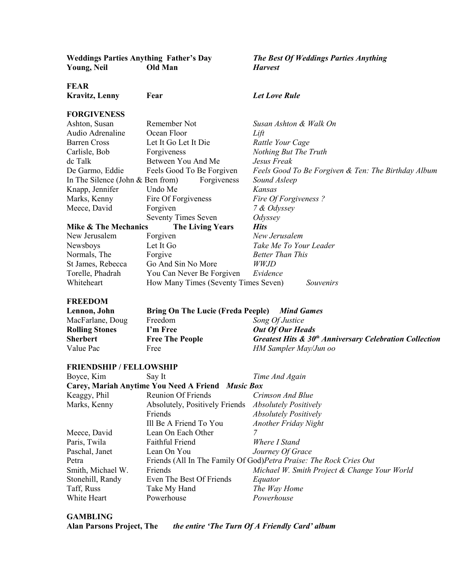| <b>Weddings Parties Anything Father's Day</b><br><b>Young, Neil</b> | <b>Old Man</b>                                    | <b>The Best Of Weddings Parties Anything</b><br><b>Harvest</b>      |
|---------------------------------------------------------------------|---------------------------------------------------|---------------------------------------------------------------------|
| FEAR                                                                |                                                   |                                                                     |
| <b>Kravitz, Lenny</b>                                               | Fear                                              | <b>Let Love Rule</b>                                                |
| <b>FORGIVENESS</b>                                                  |                                                   |                                                                     |
| Ashton, Susan                                                       | Remember Not                                      | Susan Ashton & Walk On                                              |
| Audio Adrenaline                                                    | Ocean Floor                                       | Lift                                                                |
| <b>Barren Cross</b>                                                 | Let It Go Let It Die                              | Rattle Your Cage                                                    |
| Carlisle, Bob                                                       | Forgiveness                                       | Nothing But The Truth                                               |
| dc Talk                                                             | Between You And Me                                | Jesus Freak                                                         |
| De Garmo, Eddie                                                     | Feels Good To Be Forgiven                         | Feels Good To Be Forgiven & Ten: The Birthday Album                 |
| In The Silence (John $&$ Ben from)                                  | Forgiveness                                       | Sound Asleep                                                        |
| Knapp, Jennifer                                                     | Undo Me                                           | Kansas                                                              |
| Marks, Kenny                                                        | Fire Of Forgiveness                               | Fire Of Forgiveness?                                                |
| Meece, David                                                        | Forgiven                                          | 7 & Odyssey                                                         |
|                                                                     | <b>Seventy Times Seven</b>                        | Odyssey                                                             |
| <b>Mike &amp; The Mechanics</b>                                     |                                                   | <b>Hits</b>                                                         |
| New Jerusalem                                                       | <b>The Living Years</b>                           | New Jerusalem                                                       |
|                                                                     | Forgiven                                          |                                                                     |
| Newsboys                                                            | Let It Go                                         | Take Me To Your Leader                                              |
| Normals, The                                                        | Forgive                                           | <b>Better Than This</b>                                             |
| St James, Rebecca                                                   | Go And Sin No More                                | <b>WWJD</b>                                                         |
| Torelle, Phadrah                                                    | You Can Never Be Forgiven                         | Evidence                                                            |
| Whiteheart                                                          | How Many Times (Seventy Times Seven)              | Souvenirs                                                           |
| <b>FREEDOM</b>                                                      |                                                   |                                                                     |
| Lennon, John                                                        | <b>Bring On The Lucie (Freda Peeple)</b>          | <b>Mind Games</b>                                                   |
| MacFarlane, Doug                                                    | Freedom                                           | Song Of Justice                                                     |
| <b>Rolling Stones</b>                                               | I'm Free                                          | <b>Out Of Our Heads</b>                                             |
| <b>Sherbert</b>                                                     | <b>Free The People</b>                            | Greatest Hits & 30 <sup>th</sup> Anniversary Celebration Collection |
| Value Pac                                                           | Free                                              | HM Sampler May/Jun oo                                               |
| <b>FRIENDSHIP / FELLOWSHIP</b>                                      |                                                   |                                                                     |
| Boyce, Kim                                                          | Say It                                            | Time And Again                                                      |
|                                                                     | Carey, Mariah Anytime You Need A Friend Music Box |                                                                     |
| Keaggy, Phil                                                        | <b>Reunion Of Friends</b>                         | Crimson And Blue                                                    |
| Marks, Kenny                                                        | Absolutely, Positively Friends                    | <b>Absolutely Positively</b>                                        |
|                                                                     | Friends                                           | <b>Absolutely Positively</b>                                        |
|                                                                     | Ill Be A Friend To You                            | <b>Another Friday Night</b>                                         |
|                                                                     |                                                   | 7                                                                   |
| Meece, David                                                        | Lean On Each Other<br><b>Faithful Friend</b>      | Where I Stand                                                       |
| Paris, Twila                                                        |                                                   |                                                                     |
| Paschal, Janet                                                      | Lean On You                                       | Journey Of Grace                                                    |
| Petra                                                               |                                                   | Friends (All In The Family Of God) Petra Praise: The Rock Cries Out |
| Smith, Michael W.                                                   | Friends                                           | Michael W. Smith Project & Change Your World                        |
| Stonehill, Randy                                                    | Even The Best Of Friends                          | Equator                                                             |
| Taff, Russ                                                          | Take My Hand                                      | The Way Home                                                        |
| White Heart                                                         | Powerhouse                                        | Powerhouse                                                          |
|                                                                     |                                                   |                                                                     |

**GAMBLING**

**Alan Parsons Project, The** *the entire 'The Turn Of A Friendly Card' album*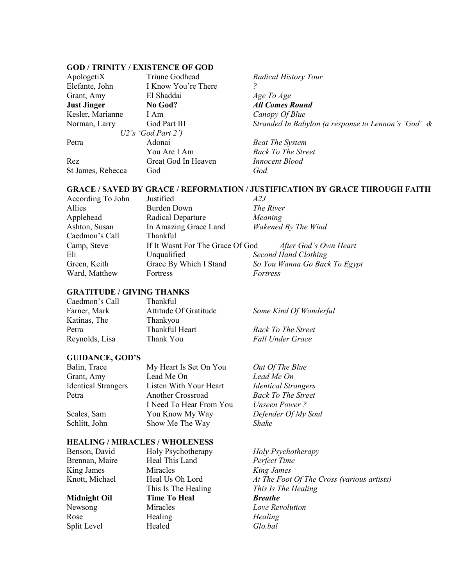#### **GOD / TRINITY / EXISTENCE OF GOD**

| Triune Godhead<br>ApologetiX |                     | Rad         |
|------------------------------|---------------------|-------------|
| Elefante, John               | I Know You're There |             |
| Grant, Amy                   | El Shaddai          | Age         |
| <b>Just Jinger</b>           | No God?             | All         |
| Kesler, Marianne             | I Am                | Can         |
| Norman, Larry                | God Part III        | <i>Stra</i> |
|                              | U2's 'God Part 2')  |             |
| Petra                        | Adonai              | Beat        |
|                              | You Are I Am        | Baci        |
| Rez                          | Great God In Heaven | <i>Inno</i> |
| St James, Rebecca            | God                 | God         |

**Radical History Tour** Age To Age *All Comes Round* **Canopy Of Blue** Stranded In Babylon (a response to Lennon's 'God' &

**Beat The System Back To The Street Innocent Blood** 

#### **GRACE / SAVED BY GRACE / REFORMATION / JUSTIFICATION BY GRACE THROUGH FAITH**

| According To John | Justified                        | A2J                           |
|-------------------|----------------------------------|-------------------------------|
| Allies            | <b>Burden Down</b>               | The River                     |
| Applehead         | Radical Departure                | Meaning                       |
| Ashton, Susan     | In Amazing Grace Land            | Wakened By The Wind           |
| Caedmon's Call    | Thankful                         |                               |
| Camp, Steve       | If It Wasnt For The Grace Of God | After God's Own Heart         |
| Eli               | Unqualified                      | <b>Second Hand Clothing</b>   |
| Green, Keith      | Grace By Which I Stand           | So You Wanna Go Back To Egypt |
| Ward, Matthew     | Fortress                         | Fortress                      |
|                   |                                  |                               |

#### **GRATITUDE / GIVING THANKS**

| Caedmon's Call | Thankful              |                           |
|----------------|-----------------------|---------------------------|
| Farner, Mark   | Attitude Of Gratitude | Some Kind Of Wonderful    |
| Katinas, The   | Thankyou              |                           |
| Petra          | Thankful Heart        | <b>Back To The Street</b> |
| Reynolds, Lisa | Thank You             | <b>Fall Under Grace</b>   |

#### **GUIDANCE, GOD'S**

| Balin, Trace               | My Heart Is Set On You  | Out Of The Blue            |
|----------------------------|-------------------------|----------------------------|
| Grant, Amy                 | Lead Me On              | Lead Me On                 |
| <b>Identical Strangers</b> | Listen With Your Heart  | <b>Identical Strangers</b> |
| Petra                      | Another Crossroad       | <b>Back To The Street</b>  |
|                            | I Need To Hear From You | <i>Unseen Power?</i>       |
| Scales, Sam                | You Know My Way         | Defender Of My Soul        |
| Schlitt, John              | Show Me The Way         | <i>Shake</i>               |
|                            |                         |                            |

#### **HEALING / MIRACLES / WHOLENESS**

Split Level **Healed** *Glo.bal* 

Heal This Land *Perfect Time* King James Miracles *King James* **Midnight Oil Time To Heal** *Breathe* Newsong Miracles *Love Revolution* Rose **Healing** *Healing Healing* 

Holy Psychotherapy *Holy Psychotherapy* Heal Us Oh Lord *At The Foot Of The Cross (various artists)* This Is The Healing *This Is The Healing*<br>**Time To Heal** *Breathe*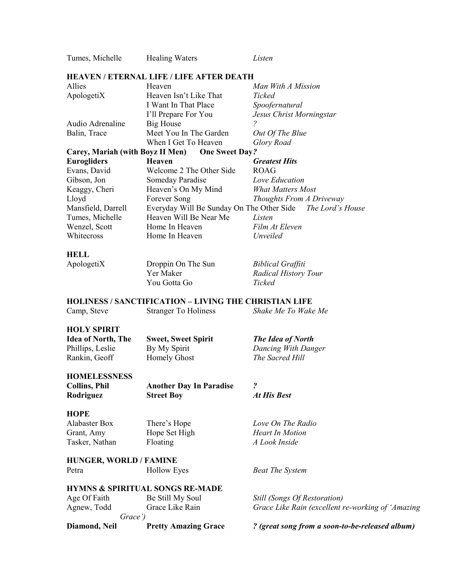| Tumes, Michelle                  | <b>Healing Waters</b>                                        | Listen                                            |
|----------------------------------|--------------------------------------------------------------|---------------------------------------------------|
|                                  | <b>HEAVEN / ETERNAL LIFE / LIFE AFTER DEATH</b>              |                                                   |
| Allies                           | Heaven                                                       | Man With A Mission                                |
| ApologetiX                       | Heaven Isn't Like That                                       | Ticked                                            |
|                                  | I Want In That Place                                         | Spoofernatural                                    |
|                                  | I'll Prepare For You                                         | Jesus Christ Morningstar                          |
| Audio Adrenaline                 | <b>Big House</b>                                             | 2                                                 |
| Balin, Trace                     | Meet You In The Garden                                       | Out Of The Blue                                   |
|                                  | When I Get To Heaven                                         | Glory Road                                        |
| Carey, Mariah (with Boyz II Men) | <b>One Sweet Day?</b>                                        |                                                   |
| <b>Eurogliders</b>               | <b>Heaven</b>                                                | <b>Greatest Hits</b>                              |
| Evans, David                     | Welcome 2 The Other Side                                     | <b>ROAG</b>                                       |
| Gibson, Jon                      | Someday Paradise                                             | Love Education                                    |
| Keaggy, Cheri                    | Heaven's On My Mind                                          | <b>What Matters Most</b>                          |
| Lloyd                            | Forever Song                                                 | Thoughts From A Driveway                          |
| Mansfield, Darrell               | Everyday Will Be Sunday On The Other Side                    | The Lord's House                                  |
| Tumes, Michelle                  | Heaven Will Be Near Me                                       | Listen                                            |
| Wenzel, Scott                    | Home In Heaven                                               | Film At Eleven                                    |
| Whitecross                       | Home In Heaven                                               | Unveiled                                          |
|                                  |                                                              |                                                   |
| <b>HELL</b>                      |                                                              |                                                   |
| ApologetiX                       | Droppin On The Sun                                           | <b>Biblical Graffiti</b>                          |
|                                  | Yer Maker                                                    | <b>Radical History Tour</b>                       |
|                                  | You Gotta Go                                                 | Ticked                                            |
|                                  |                                                              |                                                   |
|                                  | <b>HOLINESS / SANCTIFICATION – LIVING THE CHRISTIAN LIFE</b> |                                                   |
| Camp, Steve                      | <b>Stranger To Holiness</b>                                  | Shake Me To Wake Me                               |
|                                  |                                                              |                                                   |
| <b>HOLY SPIRIT</b>               |                                                              |                                                   |
| <b>Idea of North, The</b>        | <b>Sweet, Sweet Spirit</b>                                   | The Idea of North                                 |
| Phillips, Leslie                 | By My Spirit                                                 | Dancing With Danger                               |
| Rankin, Geoff                    | <b>Homely Ghost</b>                                          | The Sacred Hill                                   |
|                                  |                                                              |                                                   |
| <b>HOMELESSNESS</b>              |                                                              |                                                   |
| <b>Collins, Phil</b>             | <b>Another Day In Paradise</b>                               | $\overline{\mathbf{c}}$                           |
| Rodriguez                        | <b>Street Boy</b>                                            | At His Best                                       |
| <b>HOPE</b>                      |                                                              |                                                   |
| <b>Alabaster Box</b>             | There's Hope                                                 | Love On The Radio                                 |
|                                  | Hope Set High                                                | <b>Heart In Motion</b>                            |
| Grant, Amy                       | Floating                                                     | A Look Inside                                     |
| Tasker, Nathan                   |                                                              |                                                   |
| <b>HUNGER, WORLD / FAMINE</b>    |                                                              |                                                   |
| Petra                            | <b>Hollow Eyes</b>                                           | <b>Beat The System</b>                            |
|                                  |                                                              |                                                   |
|                                  | <b>HYMNS &amp; SPIRITUAL SONGS RE-MADE</b>                   |                                                   |
| Age Of Faith                     | Be Still My Soul                                             | <b>Still (Songs Of Restoration)</b>               |
| Agnew, Todd                      | Grace Like Rain                                              | Grace Like Rain (excellent re-working of 'Amazing |
| Grace')                          |                                                              |                                                   |
| Diamond, Neil                    | <b>Pretty Amazing Grace</b>                                  | ? (great song from a soon-to-be-released album)   |
|                                  |                                                              |                                                   |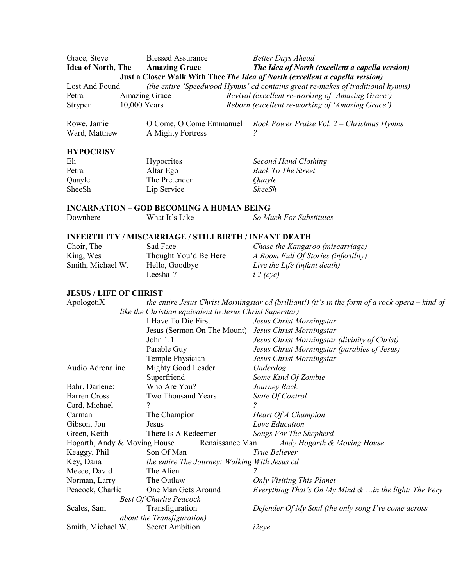| Grace, Steve              | <b>Blessed Assurance</b> | <b>Better Days Ahead</b>                                                       |
|---------------------------|--------------------------|--------------------------------------------------------------------------------|
| <b>Idea of North, The</b> | <b>Amazing Grace</b>     | The Idea of North (excellent a capella version)                                |
|                           |                          | Just a Closer Walk With Thee The Idea of North (excellent a capella version)   |
| Lost And Found            |                          | (the entire 'Speedwood Hymns' cd contains great re-makes of traditional hymns) |
| Petra                     | <b>Amazing Grace</b>     | Revival (excellent re-working of 'Amazing Grace')                              |
| <b>Stryper</b>            | 10,000 Years             | Reborn (excellent re-working of 'Amazing Grace')                               |
|                           |                          |                                                                                |

| Rowe, Jamie   |                   | O Come, O Come Emmanuel Rock Power Praise Vol. 2 – Christmas Hymns |
|---------------|-------------------|--------------------------------------------------------------------|
| Ward, Matthew | A Mighty Fortress |                                                                    |

#### **HYPOCRISY**

| Eli    | <b>Hypocrites</b> | Second Hand Clothing      |
|--------|-------------------|---------------------------|
| Petra  | Altar Ego         | <b>Back To The Street</b> |
| Quayle | The Pretender     | Quayle                    |
| SheeSh | Lip Service       | <i><b>SheeSh</b></i>      |

**INCARNATION – GOD BECOMING A HUMAN BEING**<br>Downhere What It's Like So Mu Downhere What It's Like *So Much For Substitutes*

## **INFERTILITY / MISCARRIAGE / STILLBIRTH / INFANT DEATH**

| Choir, The        | Sad Face              | Chase the Kangaroo (miscarriage)     |
|-------------------|-----------------------|--------------------------------------|
| King, Wes         | Thought You'd Be Here | A Room Full Of Stories (infertility) |
| Smith, Michael W. | Hello, Goodbye        | Live the Life (infant death)         |
|                   | Leesha?               | $i$ 2 (eye)                          |

#### **JESUS / LIFE OF CHRIST**

| ApologetiX                   | the entire Jesus Christ Morningstar cd (brilliant!) (it's in the form of a rock opera $-$ kind of |                                                          |
|------------------------------|---------------------------------------------------------------------------------------------------|----------------------------------------------------------|
|                              | like the Christian equivalent to Jesus Christ Superstar)                                          |                                                          |
|                              | I Have To Die First                                                                               | Jesus Christ Morningstar                                 |
|                              | Jesus (Sermon On The Mount) Jesus Christ Morningstar                                              |                                                          |
|                              | John $1:1$                                                                                        | Jesus Christ Morningstar (divinity of Christ)            |
|                              | Parable Guy                                                                                       | Jesus Christ Morningstar (parables of Jesus)             |
|                              | Temple Physician                                                                                  | Jesus Christ Morningstar                                 |
| Audio Adrenaline             | Mighty Good Leader                                                                                | Underdog                                                 |
|                              | Superfriend                                                                                       | Some Kind Of Zombie                                      |
| Bahr, Darlene:               | Who Are You?                                                                                      | Journey Back                                             |
| <b>Barren Cross</b>          | Two Thousand Years                                                                                | State Of Control                                         |
| Card, Michael                | ?                                                                                                 |                                                          |
| Carman                       | The Champion                                                                                      | Heart Of A Champion                                      |
| Gibson, Jon                  | Jesus                                                                                             | Love Education                                           |
| Green, Keith                 | There Is A Redeemer                                                                               | Songs For The Shepherd                                   |
| Hogarth, Andy & Moving House | Renaissance Man                                                                                   | Andy Hogarth & Moving House                              |
| Keaggy, Phil                 | Son Of Man                                                                                        | True Believer                                            |
| Key, Dana                    | the entire The Journey: Walking With Jesus cd                                                     |                                                          |
| Meece, David                 | The Alien                                                                                         |                                                          |
| Norman, Larry                | The Outlaw                                                                                        | <b>Only Visiting This Planet</b>                         |
| Peacock, Charlie             | One Man Gets Around                                                                               | Everything That's On My Mind $\&$ in the light: The Very |
|                              | <b>Best Of Charlie Peacock</b>                                                                    |                                                          |
| Scales, Sam                  | Transfiguration                                                                                   | Defender Of My Soul (the only song I've come across      |
|                              | about the Transfiguration)                                                                        |                                                          |
| Smith, Michael W.            | <b>Secret Ambition</b>                                                                            | i2eye                                                    |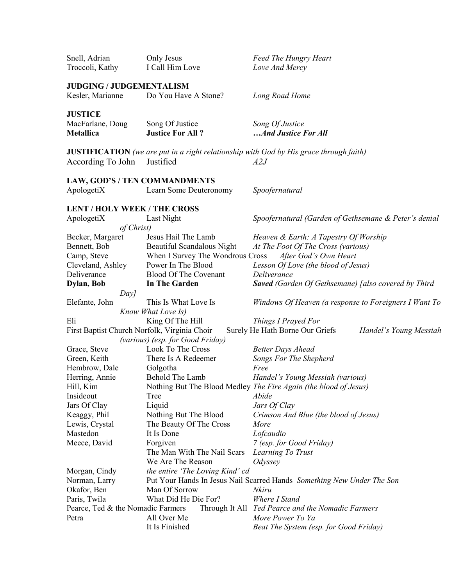| Snell, Adrian<br>Troccoli, Kathy                    | Only Jesus<br>I Call Him Love                           | <b>Feed The Hungry Heart</b><br>Love And Mercy                                                       |
|-----------------------------------------------------|---------------------------------------------------------|------------------------------------------------------------------------------------------------------|
| <b>JUDGING / JUDGEMENTALISM</b><br>Kesler, Marianne | Do You Have A Stone?                                    | Long Road Home                                                                                       |
| <b>JUSTICE</b><br>MacFarlane, Doug<br>Metallica     | Song Of Justice<br><b>Justice For All?</b>              | Song Of Justice<br>And Justice For All                                                               |
| According To John                                   | Justified                                               | <b>JUSTIFICATION</b> (we are put in a right relationship with God by His grace through faith)<br>A2J |
| ApologetiX                                          | LAW, GOD'S / TEN COMMANDMENTS<br>Learn Some Deuteronomy | Spoofernatural                                                                                       |
| <b>LENT / HOLY WEEK / THE CROSS</b><br>ApologetiX   | Last Night                                              | Spoofernatural (Garden of Gethsemane & Peter's denial                                                |
| of Christ)                                          |                                                         |                                                                                                      |
| Becker, Margaret                                    | Jesus Hail The Lamb                                     | Heaven & Earth: A Tapestry Of Worship                                                                |
| Bennett, Bob                                        | Beautiful Scandalous Night                              | At The Foot Of The Cross (various)<br>After God's Own Heart                                          |
| Camp, Steve                                         | When I Survey The Wondrous Cross<br>Power In The Blood  |                                                                                                      |
| Cleveland, Ashley<br>Deliverance                    | <b>Blood Of The Covenant</b>                            | Lesson Of Love (the blood of Jesus)<br>Deliverance                                                   |
| Dylan, Bob                                          | In The Garden                                           | <b>Saved</b> (Garden Of Gethsemane) [also covered by Third                                           |
| Day                                                 |                                                         |                                                                                                      |
| Elefante, John                                      | This Is What Love Is                                    | Windows Of Heaven (a response to Foreigners I Want To                                                |
|                                                     | Know What Love Is)                                      |                                                                                                      |
| Eli                                                 | King Of The Hill                                        | Things I Prayed For                                                                                  |
|                                                     | First Baptist Church Norfolk, Virginia Choir            | Surely He Hath Borne Our Griefs<br>Handel's Young Messiah                                            |
|                                                     | (various) (esp. for Good Friday)                        |                                                                                                      |
| Grace, Steve                                        | Look To The Cross                                       | <b>Better Days Ahead</b>                                                                             |
| Green, Keith                                        | There Is A Redeemer                                     | Songs For The Shepherd                                                                               |
| Hembrow, Dale                                       | Golgotha                                                | Free                                                                                                 |
| Herring, Annie                                      | Behold The Lamb                                         | Handel's Young Messiah (various)                                                                     |
| Hill, Kim                                           |                                                         | Nothing But The Blood Medley The Fire Again (the blood of Jesus)                                     |
| Insideout                                           | Tree                                                    | Abide                                                                                                |
| Jars Of Clay                                        | Liquid                                                  | Jars Of Clay                                                                                         |
| Keaggy, Phil                                        | Nothing But The Blood                                   | Crimson And Blue (the blood of Jesus)                                                                |
| Lewis, Crystal<br>Mastedon                          | The Beauty Of The Cross                                 | More                                                                                                 |
|                                                     | It Is Done                                              | Lofcaudio                                                                                            |
| Meece, David                                        | Forgiven<br>The Man With The Nail Scars                 | 7 (esp. for Good Friday)                                                                             |
|                                                     | We Are The Reason                                       | Learning To Trust<br>Odyssey                                                                         |
| Morgan, Cindy                                       | the entire 'The Loving Kind' cd                         |                                                                                                      |
| Norman, Larry                                       |                                                         | Put Your Hands In Jesus Nail Scarred Hands Something New Under The Son                               |
| Okafor, Ben                                         | Man Of Sorrow                                           | Nkiru                                                                                                |
| Paris, Twila                                        | What Did He Die For?                                    | Where I Stand                                                                                        |
| Pearce, Ted & the Nomadic Farmers                   |                                                         | Through It All Ted Pearce and the Nomadic Farmers                                                    |
| Petra                                               | All Over Me                                             | More Power To Ya                                                                                     |
|                                                     | It Is Finished                                          | Beat The System (esp. for Good Friday)                                                               |
|                                                     |                                                         |                                                                                                      |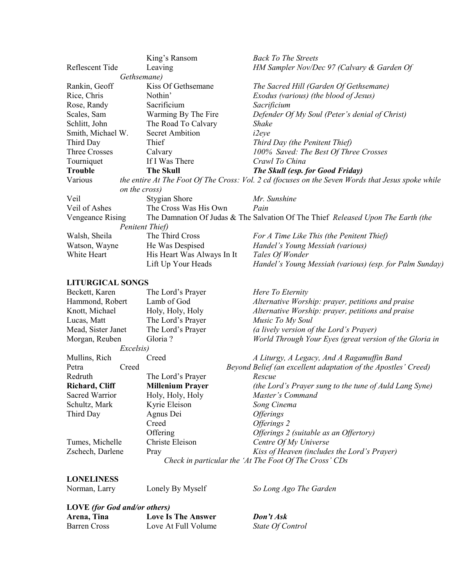|                         | King's Ransom              | <b>Back To The Streets</b>                                                                        |
|-------------------------|----------------------------|---------------------------------------------------------------------------------------------------|
| Reflescent Tide         | Leaving                    | HM Sampler Nov/Dec 97 (Calvary & Garden Of                                                        |
|                         | Gethsemane)                |                                                                                                   |
| Rankin, Geoff           | Kiss Of Gethsemane         | The Sacred Hill (Garden Of Gethsemane)                                                            |
| Rice, Chris             | Nothin'                    | Exodus (various) (the blood of Jesus)                                                             |
| Rose, Randy             | Sacrificium                | Sacrificium                                                                                       |
| Scales, Sam             | Warming By The Fire        | Defender Of My Soul (Peter's denial of Christ)                                                    |
| Schlitt, John           | The Road To Calvary        | Shake                                                                                             |
| Smith, Michael W.       | <b>Secret Ambition</b>     | <i>i2eye</i>                                                                                      |
| Third Day               | Thief                      | Third Day (the Penitent Thief)                                                                    |
| Three Crosses           | Calvary                    | 100% Saved: The Best Of Three Crosses                                                             |
| Tourniquet              | If I Was There             | Crawl To China                                                                                    |
| <b>Trouble</b>          | <b>The Skull</b>           | The Skull (esp. for Good Friday)                                                                  |
| Various                 |                            | the entire At The Foot Of The Cross: Vol. 2 cd (focuses on the Seven Words that Jesus spoke while |
|                         | on the cross)              |                                                                                                   |
| Veil                    | <b>Stygian Shore</b>       | Mr. Sunshine                                                                                      |
| Veil of Ashes           | The Cross Was His Own      | Pain                                                                                              |
| Vengeance Rising        |                            | The Damnation Of Judas & The Salvation Of The Thief Released Upon The Earth (the                  |
|                         | Penitent Thief)            |                                                                                                   |
| Walsh, Sheila           | The Third Cross            | For A Time Like This (the Penitent Thief)                                                         |
| Watson, Wayne           | He Was Despised            | Handel's Young Messiah (various)                                                                  |
| White Heart             | His Heart Was Always In It | Tales Of Wonder                                                                                   |
|                         | Lift Up Your Heads         | Handel's Young Messiah (various) (esp. for Palm Sunday)                                           |
| <b>LITURGICAL SONGS</b> |                            |                                                                                                   |
|                         |                            |                                                                                                   |
| Beckett, Karen          | The Lord's Prayer          | Here To Eternity                                                                                  |
| Hammond, Robert         | Lamb of God                | Alternative Worship: prayer, petitions and praise                                                 |
| Knott, Michael          | Holy, Holy, Holy           | Alternative Worship: prayer, petitions and praise                                                 |
| Lucas, Matt             | The Lord's Prayer          | Music To My Soul                                                                                  |
| Mead, Sister Janet      | The Lord's Prayer          | (a lively version of the Lord's Prayer)                                                           |
| Morgan, Reuben          | Gloria?                    | World Through Your Eyes (great version of the Gloria in                                           |
|                         | Excelsis)                  |                                                                                                   |
| Mullins, Rich           | Creed                      | A Liturgy, A Legacy, And A Ragamuffin Band                                                        |
| Petra<br>Redruth        | Creed                      | Beyond Belief (an excellent adaptation of the Apostles' Creed)                                    |
|                         | The Lord's Prayer          | Rescue                                                                                            |
| Richard, Cliff          | <b>Millenium Prayer</b>    | (the Lord's Prayer sung to the tune of Auld Lang Syne)                                            |
| <b>Sacred Warrior</b>   | Holy, Holy, Holy           | Master's Command                                                                                  |
| Schultz, Mark           | Kyrie Eleison              | Song Cinema                                                                                       |
| Third Day               | Agnus Dei                  | <i><b>Offerings</b></i>                                                                           |
|                         | Creed                      | Offerings 2                                                                                       |
|                         | Offering                   | Offerings 2 (suitable as an Offertory)                                                            |
| Tumes, Michelle         | Christe Eleison            | Centre Of My Universe                                                                             |
| Zschech, Darlene        | Pray                       | Kiss of Heaven (includes the Lord's Prayer)                                                       |
|                         |                            | Check in particular the 'At The Foot Of The Cross' CDs                                            |

## **LONELINESS**

Norman, Larry Lonely By Myself *So Long Ago The Garden*

## **LOVE** *(for God and/or others)*

| Arena, Tina  | Love Is The Answer  | Don't Ask        |
|--------------|---------------------|------------------|
| Barren Cross | Love At Full Volume | State Of Control |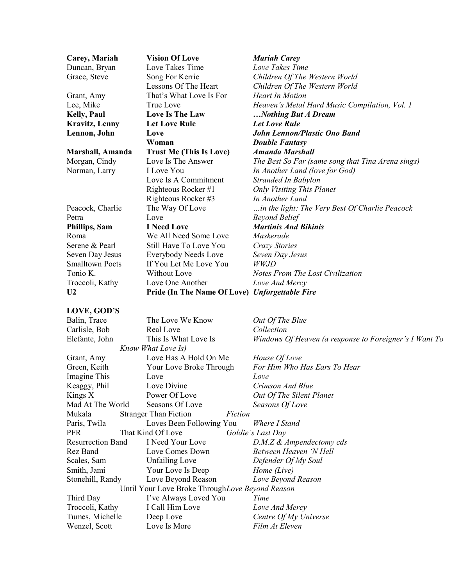| Carey, Mariah          | <b>Vision Of Love</b>                          | <b>Mariah Carey</b>                               |
|------------------------|------------------------------------------------|---------------------------------------------------|
| Duncan, Bryan          | Love Takes Time                                | Love Takes Time                                   |
| Grace, Steve           | Song For Kerrie                                | Children Of The Western World                     |
|                        | Lessons Of The Heart                           | Children Of The Western World                     |
| Grant, Amy             | That's What Love Is For                        | <b>Heart In Motion</b>                            |
| Lee, Mike              | True Love                                      | Heaven's Metal Hard Music Compilation, Vol. 1     |
| <b>Kelly, Paul</b>     | <b>Love Is The Law</b>                         | Nothing But A Dream                               |
| <b>Kravitz</b> , Lenny | <b>Let Love Rule</b>                           | <b>Let Love Rule</b>                              |
| Lennon, John           | Love                                           | <b>John Lennon/Plastic Ono Band</b>               |
|                        | Woman                                          | <b>Double Fantasy</b>                             |
| Marshall, Amanda       | <b>Trust Me (This Is Love)</b>                 | <b>Amanda Marshall</b>                            |
| Morgan, Cindy          | Love Is The Answer                             | The Best So Far (same song that Tina Arena sings) |
| Norman, Larry          | I Love You                                     | In Another Land (love for God)                    |
|                        | Love Is A Commitment                           | Stranded In Babylon                               |
|                        | Righteous Rocker#1                             | <b>Only Visiting This Planet</b>                  |
|                        | Righteous Rocker#3                             | In Another Land                                   |
| Peacock, Charlie       | The Way Of Love                                | in the light: The Very Best Of Charlie Peacock    |
| Petra                  | Love                                           | <b>Beyond Belief</b>                              |
| Phillips, Sam          | <b>I</b> Need Love                             | <b>Martinis And Bikinis</b>                       |
| Roma                   | We All Need Some Love                          | Maskerade                                         |
| Serene & Pearl         | Still Have To Love You                         | Crazy Stories                                     |
| Seven Day Jesus        | Everybody Needs Love                           | Seven Day Jesus                                   |
| <b>Smalltown Poets</b> | If You Let Me Love You                         | WW.JD                                             |
| Tonio K.               | Without Love                                   | Notes From The Lost Civilization                  |
| Troccoli, Kathy        | Love One Another                               | Love And Mercy                                    |
| U <sub>2</sub>         | Pride (In The Name Of Love) Unforgettable Fire |                                                   |
|                        |                                                |                                                   |
| LOVE GOD'S             |                                                |                                                   |

#### **LOVE, GOD'S**

| Balin, Trace                                     | The Love We Know                        | Out Of The Blue                                        |
|--------------------------------------------------|-----------------------------------------|--------------------------------------------------------|
| Carlisle, Bob                                    | Real Love                               | Collection                                             |
| Elefante, John                                   | This Is What Love Is                    | Windows Of Heaven (a response to Foreigner's I Want To |
|                                                  | Know What Love Is)                      |                                                        |
| Grant, Amy                                       | Love Has A Hold On Me                   | House Of Love                                          |
| Green, Keith                                     | Your Love Broke Through                 | For Him Who Has Ears To Hear                           |
| Imagine This                                     | Love                                    | Love                                                   |
| Keaggy, Phil                                     | Love Divine                             | Crimson And Blue                                       |
| Kings $X$                                        | Power Of Love                           | Out Of The Silent Planet                               |
| Mad At The World                                 | Seasons Of Love                         | Seasons Of Love                                        |
| Mukala                                           | <b>Stranger Than Fiction</b><br>Fiction |                                                        |
| Paris, Twila                                     | Loves Been Following You                | Where I Stand                                          |
| PFR                                              | That Kind Of Love                       | Goldie's Last Day                                      |
| <b>Resurrection Band</b>                         | I Need Your Love                        | D.M.Z & Ampendectomy cds                               |
| Rez Band                                         | Love Comes Down                         | Between Heaven 'N Hell                                 |
| Scales, Sam                                      | <b>Unfailing Love</b>                   | Defender Of My Soul                                    |
| Smith, Jami                                      | Your Love Is Deep                       | Home (Live)                                            |
| Stonehill, Randy                                 | Love Beyond Reason                      | Love Beyond Reason                                     |
| Until Your Love Broke Through Love Beyond Reason |                                         |                                                        |
| Third Day                                        | I've Always Loved You                   | Time                                                   |
| Troccoli, Kathy                                  | I Call Him Love                         | Love And Mercy                                         |
| Tumes, Michelle                                  | Deep Love                               | Centre Of My Universe                                  |
| Wenzel, Scott                                    | Love Is More                            | Film At Eleven                                         |
|                                                  |                                         |                                                        |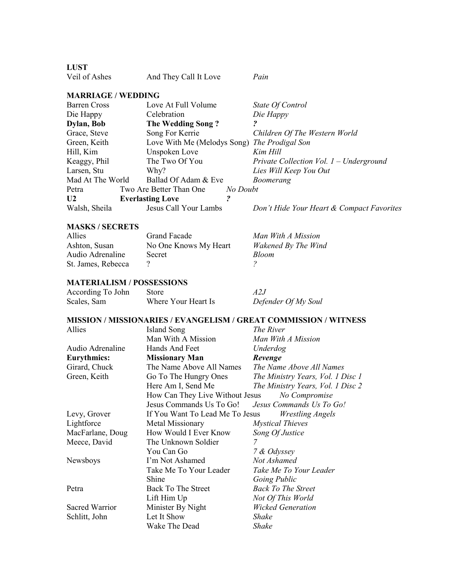**LUST**

| Veil of Ashes | And They Call It Love | Pain |
|---------------|-----------------------|------|
|               |                       |      |

## **MARRIAGE / WEDDING**

| Private Collection Vol. 1 – Underground   |
|-------------------------------------------|
|                                           |
|                                           |
|                                           |
|                                           |
| Don't Hide Your Heart & Compact Favorites |
|                                           |

#### **MASKS / SECRETS**

| Allies             | Grand Facade          | Man With A Mission  |
|--------------------|-----------------------|---------------------|
| Ashton, Susan      | No One Knows My Heart | Wakened By The Wind |
| Audio Adrenaline   | <b>Secret</b>         | <b>Bloom</b>        |
| St. James, Rebecca |                       |                     |
|                    |                       |                     |

## **MATERIALISM / POSSESSIONS**

| According To John | Store               | A 2.J               |
|-------------------|---------------------|---------------------|
| Scales, Sam       | Where Your Heart Is | Defender Of My Soul |

## **MISSION / MISSIONARIES / EVANGELISM / GREAT COMMISSION / WITNESS**

| Allies             | Island Song                     | The River                         |
|--------------------|---------------------------------|-----------------------------------|
|                    | Man With A Mission              | Man With A Mission                |
| Audio Adrenaline   | Hands And Feet                  | Underdog                          |
| <b>Eurythmics:</b> | <b>Missionary Man</b>           | Revenge                           |
| Girard, Chuck      | The Name Above All Names        | The Name Above All Names          |
| Green, Keith       | Go To The Hungry Ones           | The Ministry Years, Vol. 1 Disc 1 |
|                    | Here Am I, Send Me              | The Ministry Years, Vol. 1 Disc 2 |
|                    | How Can They Live Without Jesus | No Compromise                     |
|                    | Jesus Commands Us To Go!        | Jesus Commands Us To Go!          |
| Levy, Grover       | If You Want To Lead Me To Jesus | <b>Wrestling Angels</b>           |
| Lightforce         | Metal Missionary                | <b>Mystical Thieves</b>           |
| MacFarlane, Doug   | How Would I Ever Know           | Song Of Justice                   |
| Meece, David       | The Unknown Soldier             | 7                                 |
|                    | You Can Go                      | 7 & Odyssey                       |
| Newsboys           | I'm Not Ashamed                 | Not Ashamed                       |
|                    | Take Me To Your Leader          | Take Me To Your Leader            |
|                    | Shine                           | Going Public                      |
| Petra              | Back To The Street              | <b>Back To The Street</b>         |
|                    | Lift Him Up                     | Not Of This World                 |
| Sacred Warrior     | Minister By Night               | <b>Wicked Generation</b>          |
| Schlitt, John      | Let It Show                     | Shake                             |
|                    | Wake The Dead                   | Shake                             |
|                    |                                 |                                   |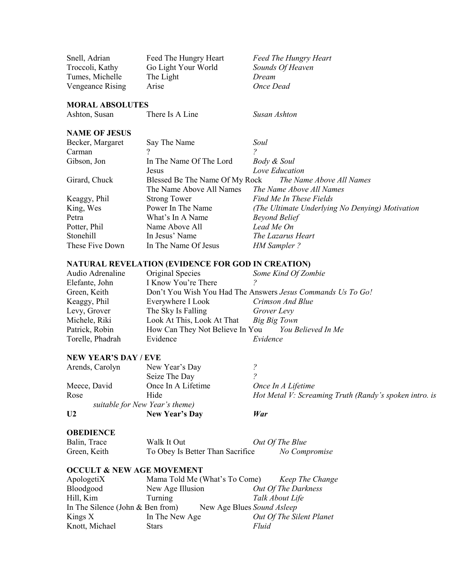Snell, Adrian Feed The Hungry Heart *Feed The Hungry Heart* Troccoli, Kathy Go Light Your World *Sounds Of Heaven* Tumes, Michelle The Light *Dream*<br>
Vengeance Rising Arise *Once Dead* **Vengeance Rising** 

#### **MORAL ABSOLUTES**

Ashton, Susan There Is A Line *Susan Ashton*

#### **NAME OF JESUS**

| Becker, Margaret | Say The Name                   | Soul                                            |
|------------------|--------------------------------|-------------------------------------------------|
| Carman           |                                |                                                 |
| Gibson, Jon      | In The Name Of The Lord        | Body & Soul                                     |
|                  | Jesus                          | Love Education                                  |
| Girard, Chuck    | Blessed Be The Name Of My Rock | The Name Above All Names                        |
|                  | The Name Above All Names       | The Name Above All Names                        |
| Keaggy, Phil     | <b>Strong Tower</b>            | Find Me In These Fields                         |
| King, Wes        | Power In The Name              | (The Ultimate Underlying No Denying) Motivation |
| Petra            | What's In A Name               | <b>Beyond Belief</b>                            |
| Potter, Phil     | Name Above All                 | Lead Me On                                      |
| Stonehill        | In Jesus' Name                 | The Lazarus Heart                               |
| These Five Down  | In The Name Of Jesus           | <b>HM</b> Sampler?                              |

#### **NATURAL REVELATION (EVIDENCE FOR GOD IN CREATION)**

| Audio Adrenaline | Original Species                                          | Some Kind Of Zombie                                         |
|------------------|-----------------------------------------------------------|-------------------------------------------------------------|
| Elefante, John   | I Know You're There                                       |                                                             |
| Green, Keith     |                                                           | Don't You Wish You Had The Answers Jesus Commands Us To Go! |
| Keaggy, Phil     | Everywhere I Look                                         | Crimson And Blue                                            |
| Levy, Grover     | The Sky Is Falling                                        | Grover Levy                                                 |
| Michele, Riki    | Look At This, Look At That                                | Big Big Town                                                |
| Patrick, Robin   | How Can They Not Believe In You <i>You Believed In Me</i> |                                                             |
| Torelle, Phadrah | Evidence                                                  | Evidence                                                    |

#### **NEW YEAR'S DAY / EVE**

| U <sub>2</sub>  | <b>New Year's Day</b>          | War                                                    |
|-----------------|--------------------------------|--------------------------------------------------------|
|                 | suitable for New Year's theme) |                                                        |
| Rose            | Hide                           | Hot Metal V: Screaming Truth (Randy's spoken intro. is |
| Meece, David    | Once In A Lifetime             | Once In A Lifetime                                     |
|                 | Seize The Day                  |                                                        |
| Arends, Carolyn | New Year's Day                 |                                                        |

#### **OBEDIENCE**

| Balin, Trace | Walk It Out                      | Out Of The Blue |
|--------------|----------------------------------|-----------------|
| Green, Keith | To Obey Is Better Than Sacrifice | No Compromise   |

#### **OCCULT & NEW AGE MOVEMENT**

| ApologetiX                         | Mama Told Me (What's To Come) | Keep The Change          |
|------------------------------------|-------------------------------|--------------------------|
| Bloodgood                          | New Age Illusion              | Out Of The Darkness      |
| Hill, Kim                          | Turning                       | Talk About Life          |
| In The Silence (John $&$ Ben from) | New Age Blues Sound Asleep    |                          |
| Kings $X$                          | In The New Age                | Out Of The Silent Planet |
| Knott, Michael                     | <b>Stars</b>                  | Fluid                    |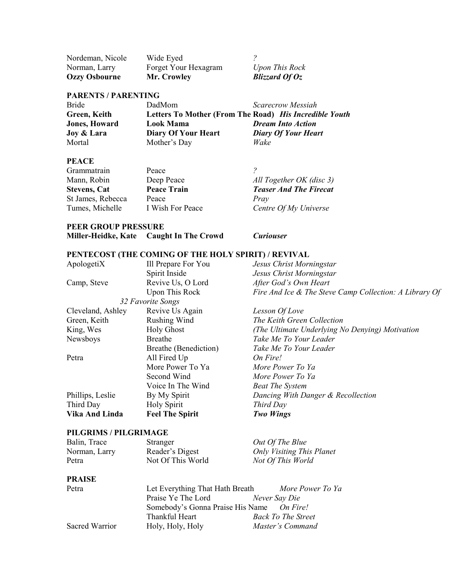$Ozzy$  Osbourne

Nordeman, Nicole Wide Eyed *?* Norman, Larry Forget Your Hexagram *Upon This Rock*<br> **Ozzy Osbourne Mr. Crowley** *Blizzard Of Oz* 

## **PARENTS / PARENTING**

| DadMom              | Scarecrow Messiah                                      |
|---------------------|--------------------------------------------------------|
|                     | Letters To Mother (From The Road) His Incredible Youth |
| Look Mama           | <b>Dream Into Action</b>                               |
| Diary Of Your Heart | <b>Diary Of Your Heart</b>                             |
| Mother's Day        | Wake                                                   |
|                     |                                                        |

#### **PEACE**

| Grammatrain         | Peace              |                               |
|---------------------|--------------------|-------------------------------|
| Mann, Robin         | Deep Peace         | All Together OK (disc 3)      |
| <b>Stevens, Cat</b> | <b>Peace Train</b> | <b>Teaser And The Firecat</b> |
| St James, Rebecca   | Peace              | Pray                          |
| Tumes, Michelle     | I Wish For Peace   | Centre Of My Universe         |
|                     |                    |                               |

#### **PEER GROUP PRESSURE**

| Miller-Heidke, Kate Caught In The Crowd |  |  |
|-----------------------------------------|--|--|
|                                         |  |  |

**Miller-Heidke, Kate Caught In The Crowd** *Curiouser*

## **PENTECOST (THE COMING OF THE HOLY SPIRIT) / REVIVAL**

| ApologetiX        | Ill Prepare For You    | Jesus Christ Morningstar                               |
|-------------------|------------------------|--------------------------------------------------------|
|                   | Spirit Inside          | Jesus Christ Morningstar                               |
| Camp, Steve       | Revive Us, O Lord      | After God's Own Heart                                  |
|                   | Upon This Rock         | Fire And Ice & The Steve Camp Collection: A Library Of |
|                   | 32 Favorite Songs      |                                                        |
| Cleveland, Ashley | Revive Us Again        | Lesson Of Love                                         |
| Green, Keith      | Rushing Wind           | The Keith Green Collection                             |
| King, Wes         | <b>Holy Ghost</b>      | (The Ultimate Underlying No Denying) Motivation        |
| Newsboys          | <b>Breathe</b>         | Take Me To Your Leader                                 |
|                   | Breathe (Benediction)  | Take Me To Your Leader                                 |
| Petra             | All Fired Up           | On Fire!                                               |
|                   | More Power To Ya       | More Power To Ya                                       |
|                   | Second Wind            | More Power To Ya                                       |
|                   | Voice In The Wind      | <b>Beat The System</b>                                 |
| Phillips, Leslie  | By My Spirit           | Dancing With Danger & Recollection                     |
| Third Day         | Holy Spirit            | Third Day                                              |
| Vika And Linda    | <b>Feel The Spirit</b> | <b>Two Wings</b>                                       |
|                   |                        |                                                        |

## **PILGRIMS / PILGRIMAGE**

| Balin, Trace  | Stranger          | Out Of The Blue                  |
|---------------|-------------------|----------------------------------|
| Norman, Larry | Reader's Digest   | <b>Only Visiting This Planet</b> |
| Petra         | Not Of This World | Not Of This World                |

### **PRAISE**

| Petra          | Let Everything That Hath Breath           | More Power To Ya          |  |
|----------------|-------------------------------------------|---------------------------|--|
|                | Praise Ye The Lord                        | Never Say Die             |  |
|                | Somebody's Gonna Praise His Name On Fire! |                           |  |
|                | Thankful Heart                            | <b>Back To The Street</b> |  |
| Sacred Warrior | Holy, Holy, Holy                          | Master's Command          |  |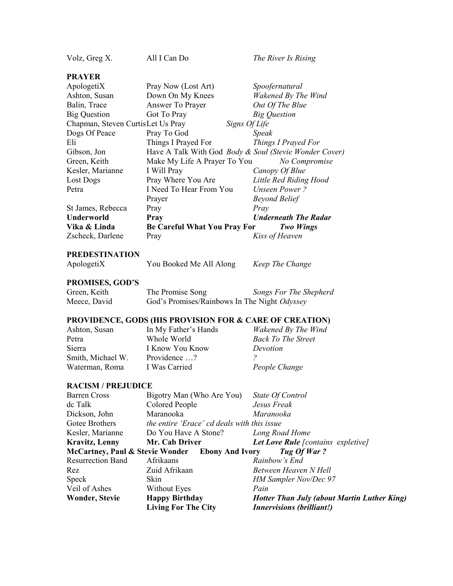| Volz, Greg X.                     | All I Can Do                                                      | The River Is Rising         |
|-----------------------------------|-------------------------------------------------------------------|-----------------------------|
| <b>PRAYER</b>                     |                                                                   |                             |
| ApologetiX                        | Pray Now (Lost Art)                                               | Spoofernatural              |
| Ashton, Susan                     | Down On My Knees                                                  | Wakened By The Wind         |
| Balin, Trace                      | Answer To Prayer                                                  | Out Of The Blue             |
| Big Question                      | Got To Pray                                                       | <b>Big Question</b>         |
| Chapman, Steven CurtisLet Us Pray | Signs Of Life                                                     |                             |
| Dogs Of Peace                     | Pray To God                                                       | <b>Speak</b>                |
| Eli                               | Things I Prayed For                                               | Things I Prayed For         |
| Gibson, Jon                       | Have A Talk With God <i>Body &amp; Soul (Stevie Wonder Cover)</i> |                             |
| Green, Keith                      | Make My Life A Prayer To You                                      | No Compromise               |
| Kesler, Marianne                  | I Will Pray                                                       | Canopy Of Blue              |
| Lost Dogs                         | Pray Where You Are                                                | Little Red Riding Hood      |
| Petra                             | I Need To Hear From You                                           | <b>Unseen Power?</b>        |
|                                   | Prayer                                                            | <b>Beyond Belief</b>        |
| St James, Rebecca                 | Pray                                                              | Pray                        |
| <b>Underworld</b>                 | Pray                                                              | <b>Underneath The Radar</b> |
| Vika & Linda                      | <b>Be Careful What You Pray For</b>                               | <b>Two Wings</b>            |
| Zscheck, Darlene                  | Pray                                                              | Kiss of Heaven              |

| <b>PREDESTINATION</b> |                         |                 |
|-----------------------|-------------------------|-----------------|
| ApologetiX            | You Booked Me All Along | Keep The Change |

## **PROMISES, GOD'S**

| Green, Keith | The Promise Song                             | Songs For The Shepherd |
|--------------|----------------------------------------------|------------------------|
| Meece, David | God's Promises/Rainbows In The Night Odyssey |                        |

## **PROVIDENCE, GODS (HIS PROVISION FOR & CARE OF CREATION)**

| In My Father's Hands | Wakened By The Wind       |
|----------------------|---------------------------|
| Whole World          | <b>Back To The Street</b> |
| I Know You Know      | Devotion                  |
| Providence ?         |                           |
| I Was Carried        | People Change             |
|                      |                           |

### **RACISM / PREJUDICE**

|                          | <b>Living For The City</b>                      | <b>Innervisions (brilliant!)</b>                   |
|--------------------------|-------------------------------------------------|----------------------------------------------------|
| <b>Wonder, Stevie</b>    | <b>Happy Birthday</b>                           | <b>Hotter Than July (about Martin Luther King)</b> |
| Veil of Ashes            | Without Eyes                                    | Pain                                               |
| Speck                    | Skin                                            | <b>HM Sampler Nov/Dec 97</b>                       |
| Rez                      | Zuid Afrikaan                                   | Between Heaven N Hell                              |
| <b>Resurrection Band</b> | Afrikaans                                       | Rainbow's End                                      |
|                          | McCartney, Paul & Stevie Wonder Ebony And Ivory | Tug Of War?                                        |
| <b>Kravitz, Lenny</b>    | Mr. Cab Driver                                  | Let Love Rule [contains expletive]                 |
| Kesler, Marianne         | Do You Have A Stone?                            | Long Road Home                                     |
| Gotee Brothers           | the entire 'Erace' cd deals with this issue     |                                                    |
| Dickson, John            | Maranooka                                       | Maranooka                                          |
| de Talk                  | Colored People                                  | Jesus Freak                                        |
| <b>Barren Cross</b>      | Bigotry Man (Who Are You)                       | State Of Control                                   |
|                          |                                                 |                                                    |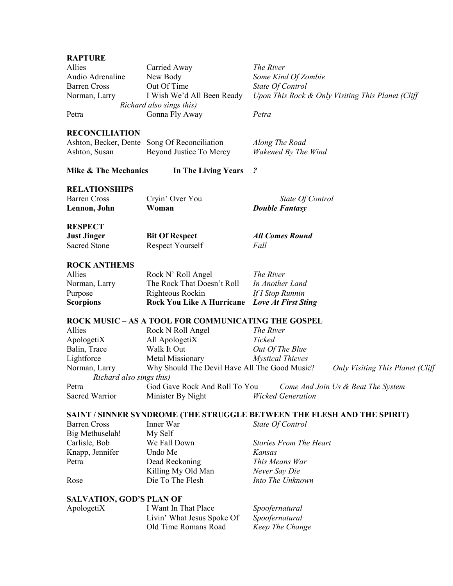#### **RAPTURE**

| Allies                | Carried Away                                 | The River                                         |
|-----------------------|----------------------------------------------|---------------------------------------------------|
| Audio Adrenaline      | New Body                                     | Some Kind Of Zombie                               |
| <b>Barren Cross</b>   | Out Of Time                                  | State Of Control                                  |
| Norman, Larry         | I Wish We'd All Been Ready                   | Upon This Rock & Only Visiting This Planet (Cliff |
|                       | Richard also sings this)                     |                                                   |
| Petra                 | Gonna Fly Away                               | Petra                                             |
| <b>RECONCILIATION</b> |                                              |                                                   |
|                       | Ashton, Becker, Dente Song Of Reconciliation | Along The Road                                    |
| Ashton, Susan         | Beyond Justice To Mercy                      | Wakened By The Wind                               |

**Mike & The Mechanics In The Living Years** *?*

#### **RELATIONSHIPS**

| <b>Barren Cross</b> | Cryin' Over You | State Of Control      |
|---------------------|-----------------|-----------------------|
| Lennon, John        | Woman           | <b>Double Fantasy</b> |

#### **RESPECT**

| <b>Just Jinger</b> | <b>Bit Of Respect</b> | <b>All Comes Round</b> |
|--------------------|-----------------------|------------------------|
| Sacred Stone       | Respect Yourself      | Fall                   |

#### **ROCK ANTHEMS**

| <b>Scorpions</b> | <b>Rock You Like A Hurricane</b> Love At First Sting |                  |
|------------------|------------------------------------------------------|------------------|
| Purpose          | Righteous Rockin                                     | If I Stop Runnin |
| Norman, Larry    | The Rock That Doesn't Roll                           | In Another Land  |
| Allies           | Rock N' Roll Angel                                   | The River        |

#### **ROCK MUSIC – AS A TOOL FOR COMMUNICATING THE GOSPEL**

| Allies                   | Rock N Roll Angel                             | The River                |                                          |
|--------------------------|-----------------------------------------------|--------------------------|------------------------------------------|
| ApologetiX               | All ApologetiX                                | Ticked                   |                                          |
| Balin, Trace             | Walk It Out                                   | Out Of The Blue          |                                          |
| Lightforce               | Metal Missionary                              | <b>Mystical Thieves</b>  |                                          |
| Norman, Larry            | Why Should The Devil Have All The Good Music? |                          | <b>Only Visiting This Planet (Cliff)</b> |
| Richard also sings this) |                                               |                          |                                          |
| Petra                    | God Gave Rock And Roll To You                 |                          | Come And Join Us & Beat The System       |
| Sacred Warrior           | Minister By Night                             | <b>Wicked Generation</b> |                                          |

#### **SAINT / SINNER SYNDROME (THE STRUGGLE BETWEEN THE FLESH AND THE SPIRIT)**

| <b>Barren Cross</b> | Inner War          | State Of Control              |
|---------------------|--------------------|-------------------------------|
| Big Methuselah!     | My Self            |                               |
| Carlisle, Bob       | We Fall Down       | <b>Stories From The Heart</b> |
| Knapp, Jennifer     | Undo Me            | Kansas                        |
| Petra               | Dead Reckoning     | This Means War                |
|                     | Killing My Old Man | Never Say Die                 |
| Rose                | Die To The Flesh   | Into The Unknown              |

#### **SALVATION, GOD'S PLAN OF**

| ApologetiX | I Want In That Place       | Spoofernatural  |
|------------|----------------------------|-----------------|
|            | Livin' What Jesus Spoke Of | Spoofernatural  |
|            | Old Time Romans Road       | Keep The Change |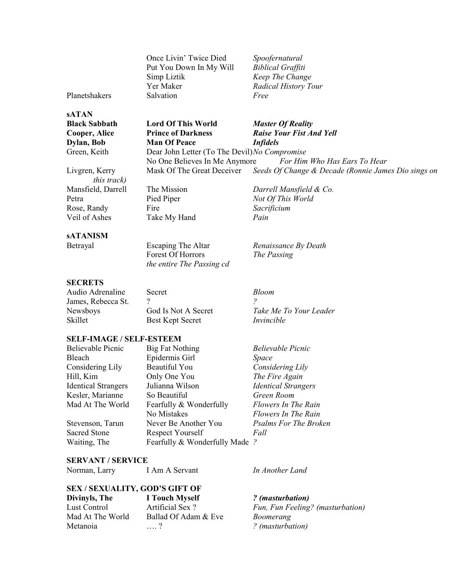Once Livin' Twice Died *Spoofernatural* Put You Down In My Will *Biblical Graffiti* Simp Liztik *Keep The Change* Yer Maker *Radical History Tour* Planetshakers Salvation *Free*

**sATAN**

**Black Sabbath Lord Of This World** *Master Of Reality* **Dylan, Bob Man Of Peace** *Infidels*

**Cooper, Alice Prince of Darkness** *Raise Your Fist And Yell*

Green, Keith Dear John Letter (To The Devil)*No Compromise* No One Believes In Me Anymore *For Him Who Has Ears To Hear* Livgren, Kerry Mask Of The Great Deceiver *Seeds Of Change & Decade (Ronnie James Dio sings on*

*this track)* Mansfield, Darrell The Mission *Darrell Mansfield & Co.* Rose, Randy Fire *Sacrificium* Veil of Ashes Take My Hand *Pain*

Petra **Pied Piper** *Not Of This World* 

Betrayal Escaping The Altar *Renaissance By Death* Forest Of Horrors *The Passing the entire The Passing cd*

**SECRETS**

**sATANISM**

Audio Adrenaline Secret *Bloom* James, Rebecca St. ? *?* Newsboys God Is Not A Secret *Take Me To Your Leader* Skillet Best Kept Secret *Invincible*

#### **SELF-IMAGE / SELF-ESTEEM**

| <b>Believable Picnic</b>   | <b>Big Fat Nothing</b>         | <b>Believable Picnic</b>     |
|----------------------------|--------------------------------|------------------------------|
| Bleach                     | Epidermis Girl                 | Space                        |
| Considering Lily           | <b>Beautiful You</b>           | Considering Lily             |
| Hill, Kim                  | Only One You                   | The Fire Again               |
| <b>Identical Strangers</b> | Julianna Wilson                | <b>Identical Strangers</b>   |
| Kesler, Marianne           | So Beautiful                   | Green Room                   |
| Mad At The World           | Fearfully & Wonderfully        | Flowers In The Rain          |
|                            | No Mistakes                    | Flowers In The Rain          |
| Stevenson, Tarun           | Never Be Another You           | <b>Psalms For The Broken</b> |
| <b>Sacred Stone</b>        | Respect Yourself               | Fall                         |
| Waiting, The               | Fearfully & Wonderfully Made ? |                              |

**SERVANT / SERVICE**

Norman, Larry **I Am A Servant** *In Another Land* 

## **SEX / SEXUALITY, GOD'S GIFT OF**

**Divinyls, The I Touch Myself** *? (masturbation)* Metanoia …. ? *? (masturbation)*

Ballad Of Adam & Eve *Boomerang* 

Lust Control Artificial Sex ? *Fun, Fun Feeling? (masturbation)*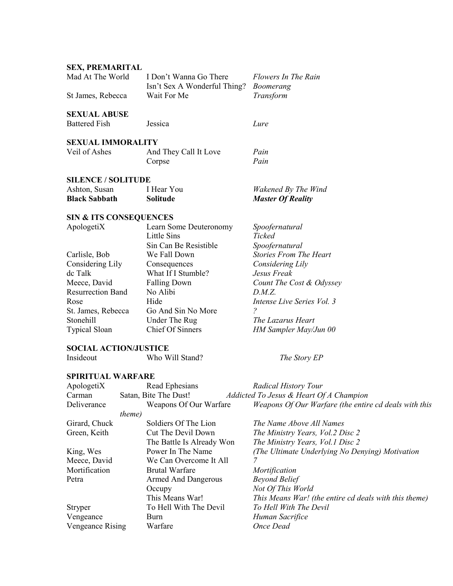## **SEX, PREMARITAL** Mad At The World I Don't Wanna Go There *Flowers In The Rain* Isn't Sex A Wonderful Thing? *Boomerang* St James, Rebecca Wait For Me *Transform* **SEXUAL ABUSE** Battered Fish Jessica *Lure* **SEXUAL IMMORALITY** Veil of Ashes And They Call It Love *Pain* Corpse *Pain* **SILENCE / SOLITUDE** Ashton, Susan I Hear You *Wakened By The Wind* **Black Sabbath Solitude** *Master Of Reality* **SIN & ITS CONSEQUENCES** ApologetiX Learn Some Deuteronomy *Spoofernatural* Little Sins *Ticked* Sin Can Be Resistible *Spoofernatural* Carlisle, Bob We Fall Down *Stories From The Heart* Considering Lily Consequences *Considering Lily* dc Talk What If I Stumble? *Jesus Freak* Meece, David Falling Down *Count The Cost & Odyssey* Resurrection Band No Alibi *D.M.Z.* Rose Hide *Intense Live Series Vol. 3* St. James, Rebecca Go And Sin No More *?*

Stonehill Under The Rug *The Lazarus Heart* Typical Sloan Chief Of Sinners *HM Sampler May/Jun 00*

#### **SOCIAL ACTION/JUSTICE**

| Insideout         | Who Will Stand? | The Story EP         |  |
|-------------------|-----------------|----------------------|--|
| SPIRITUAL WARFARE |                 |                      |  |
| AnologetiX        | Read Ephesians  | Radical History Tour |  |

| ApologetiX       | Read Ephesians             | <b>Radical History Tour</b>                           |
|------------------|----------------------------|-------------------------------------------------------|
| Carman           | Satan, Bite The Dust!      | Addicted To Jesus & Heart Of A Champion               |
| Deliverance      | Weapons Of Our Warfare     | Weapons Of Our Warfare (the entire cd deals with this |
|                  | <i>theme</i> )             |                                                       |
| Girard, Chuck    | Soldiers Of The Lion       | The Name Above All Names                              |
| Green, Keith     | Cut The Devil Down         | The Ministry Years, Vol. 2 Disc 2                     |
|                  | The Battle Is Already Won  | The Ministry Years, Vol.1 Disc 2                      |
| King, Wes        | Power In The Name          | (The Ultimate Underlying No Denying) Motivation       |
| Meece, David     | We Can Overcome It All     |                                                       |
| Mortification    | <b>Brutal Warfare</b>      | Mortification                                         |
| Petra            | <b>Armed And Dangerous</b> | <b>Beyond Belief</b>                                  |
|                  | Occupy                     | Not Of This World                                     |
|                  | This Means War!            | This Means War! (the entire cd deals with this theme) |
| <b>Stryper</b>   | To Hell With The Devil     | To Hell With The Devil                                |
| Vengeance        | Burn                       | Human Sacrifice                                       |
| Vengeance Rising | Warfare                    | Once Dead                                             |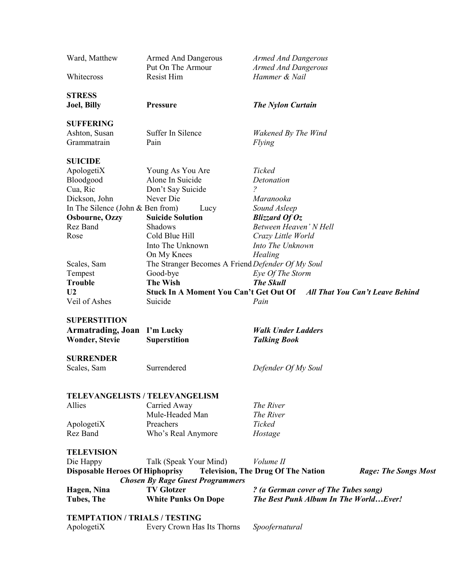| Ward, Matthew                          | <b>Armed And Dangerous</b><br>Put On The Armour   | <b>Armed And Dangerous</b><br><b>Armed And Dangerous</b> |                                        |
|----------------------------------------|---------------------------------------------------|----------------------------------------------------------|----------------------------------------|
| Whitecross                             | Resist Him                                        | Hammer & Nail                                            |                                        |
| <b>STRESS</b><br><b>Joel</b> , Billy   | Pressure                                          | <b>The Nylon Curtain</b>                                 |                                        |
| <b>SUFFERING</b>                       |                                                   |                                                          |                                        |
| Ashton, Susan                          | Suffer In Silence                                 | Wakened By The Wind                                      |                                        |
| Grammatrain                            | Pain                                              | Flying                                                   |                                        |
| <b>SUICIDE</b>                         |                                                   |                                                          |                                        |
| ApologetiX                             | Young As You Are                                  | Ticked                                                   |                                        |
| Bloodgood                              | Alone In Suicide                                  | Detonation                                               |                                        |
| Cua, Ric                               | Don't Say Suicide                                 | $\overline{?}$                                           |                                        |
| Dickson, John                          | Never Die                                         | Maranooka                                                |                                        |
| In The Silence (John $&$ Ben from)     | Lucy                                              | Sound Asleep                                             |                                        |
| <b>Osbourne, Ozzy</b>                  | <b>Suicide Solution</b>                           | Blizzard Of $Oz$                                         |                                        |
| Rez Band                               | Shadows                                           | Between Heaven' N Hell                                   |                                        |
| Rose                                   | Cold Blue Hill                                    | Crazy Little World                                       |                                        |
|                                        | Into The Unknown                                  | Into The Unknown                                         |                                        |
|                                        | On My Knees                                       | Healing                                                  |                                        |
| Scales, Sam                            | The Stranger Becomes A Friend Defender Of My Soul |                                                          |                                        |
| Tempest                                | Good-bye                                          | Eye Of The Storm                                         |                                        |
| <b>Trouble</b>                         | <b>The Wish</b>                                   | <b>The Skull</b>                                         |                                        |
| U <sub>2</sub>                         | <b>Stuck In A Moment You Can't Get Out Of</b>     |                                                          | <b>All That You Can't Leave Behind</b> |
| Veil of Ashes                          | Suicide                                           | Pain                                                     |                                        |
| <b>SUPERSTITION</b>                    |                                                   |                                                          |                                        |
| <b>Armatrading, Joan</b>               | I'm Lucky                                         | <b>Walk Under Ladders</b>                                |                                        |
| <b>Wonder, Stevie</b>                  | <b>Superstition</b>                               | <b>Talking Book</b>                                      |                                        |
| <b>SURRENDER</b>                       |                                                   |                                                          |                                        |
|                                        | Surrendered                                       |                                                          |                                        |
| Scales, Sam                            |                                                   | Defender Of My Soul                                      |                                        |
|                                        |                                                   |                                                          |                                        |
| TELEVANGELISTS / TELEVANGELISM         |                                                   |                                                          |                                        |
| Allies                                 | Carried Away                                      | The River                                                |                                        |
|                                        | Mule-Headed Man                                   | The River                                                |                                        |
| ApologetiX                             | Preachers                                         | Ticked                                                   |                                        |
| Rez Band                               | Who's Real Anymore                                | Hostage                                                  |                                        |
| <b>TELEVISION</b>                      |                                                   |                                                          |                                        |
| Die Happy                              | Talk (Speak Your Mind)                            | Volume II                                                |                                        |
| <b>Disposable Heroes Of Hiphoprisy</b> | <b>Chosen By Rage Guest Programmers</b>           | <b>Television, The Drug Of The Nation</b>                | <b>Rage: The Songs Most</b>            |
| Hagen, Nina                            | <b>TV Glotzer</b>                                 | ? (a German cover of The Tubes song)                     |                                        |
| <b>Tubes, The</b>                      | <b>White Punks On Dope</b>                        | The Best Punk Album In The WorldEver!                    |                                        |
| <b>TEMPTATION / TRIALS / TESTING</b>   |                                                   |                                                          |                                        |
|                                        |                                                   |                                                          |                                        |
| ApologetiX                             | Every Crown Has Its Thorns                        | Spoofernatural                                           |                                        |
|                                        |                                                   |                                                          |                                        |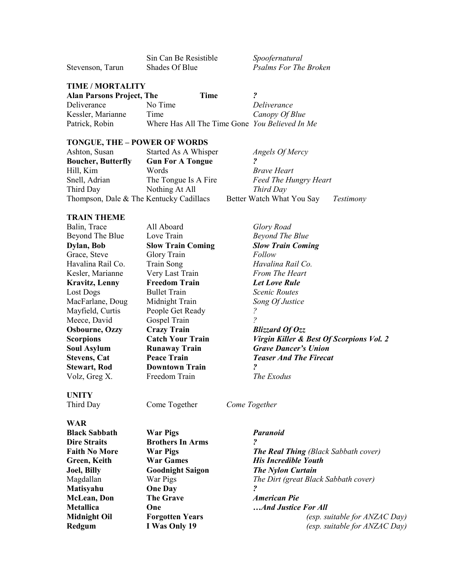|                  | <b>DIII Call De Resistium</b> |
|------------------|-------------------------------|
| Stevenson, Tarun | Shades Of Blue                |

Sin Can Be Resistible *Spoofernatural* **Psalms For The Broken** 

#### **TIME / MORTALITY**

**Alan Parsons Project, The Time** *?* Deliverance No Time *Deliverance* Kessler, Marianne Time *Canopy Of Blue* Patrick, Robin Where Has All The Time Gone *You Believed In Me*

#### **TONGUE, THE – POWER OF WORDS**

| Ashton, Susan                           | Started As A Whisper    | Angels Of Mercy              |                  |
|-----------------------------------------|-------------------------|------------------------------|------------------|
| <b>Boucher, Butterfly</b>               | <b>Gun For A Tongue</b> |                              |                  |
| Hill, Kim                               | Words                   | <i>Brave Heart</i>           |                  |
| Snell, Adrian                           | The Tongue Is A Fire    | <b>Feed The Hungry Heart</b> |                  |
| Third Day                               | Nothing At All          | Third Day                    |                  |
| Thompson, Dale & The Kentucky Cadillacs |                         | Better Watch What You Say    | <b>Testimony</b> |
|                                         |                         |                              |                  |

#### **TRAIN THEME**

| All Aboard               | Glory Road                               |
|--------------------------|------------------------------------------|
| Love Train               | Beyond The Blue                          |
| <b>Slow Train Coming</b> | <b>Slow Train Coming</b>                 |
| Glory Train              | Follow                                   |
| Train Song               | Havalina Rail Co.                        |
| Very Last Train          | <b>From The Heart</b>                    |
| <b>Freedom Train</b>     | <b>Let Love Rule</b>                     |
| <b>Bullet Train</b>      | <i>Scenic Routes</i>                     |
| Midnight Train           | Song Of Justice                          |
| People Get Ready         |                                          |
| Gospel Train             |                                          |
| <b>Crazy Train</b>       | <b>Blizzard Of Ozz</b>                   |
| <b>Catch Your Train</b>  | Virgin Killer & Best Of Scorpions Vol. 2 |
| <b>Runaway Train</b>     | <b>Grave Dancer's Union</b>              |
| <b>Peace Train</b>       | <b>Teaser And The Firecat</b>            |
| <b>Downtown Train</b>    | ?                                        |
| Freedom Train            | The Exodus                               |
|                          |                                          |
|                          |                                          |

## **UNITY**

**WAR**

Third Day Come Together *Come Together*

| <b>Black Sabbath</b> |  |  |
|----------------------|--|--|
| <b>Dire Straits</b>  |  |  |
| <b>Faith No More</b> |  |  |
| Green, Keith         |  |  |
| <b>Joel, Billy</b>   |  |  |
| Magdallan            |  |  |
| Matisyahu            |  |  |
| <b>McLean</b> , Don  |  |  |
| <b>Metallica</b>     |  |  |
| <b>Midnight Oil</b>  |  |  |
| Redgum               |  |  |

**Brothers In Arms ? Mathematism Channel Cone Day ?**<br>The Grave *A* 

## **Black Sabbath War Pigs** *Paranoid*

**Faith No. 8 The Real Thing (Black Sabbath cover) War Games** *His Incredible Youth* **Joel, Billy Goodnight Saigon** *The Nylon Curtain* War Pigs **The Dirt (great Black Sabbath cover) McLean, Don The Grave** *American Pie* **One** *metallical metallical metallical metallical metallical metallical metallical metallical metallical metallical metallical metallical metallical metallical metallical metallical metalli* **Forgotten Years** *(esp. suitable for ANZAC Day)* **Reduce 1 Was Only 19** *(esp. suitable for ANZAC Day)*